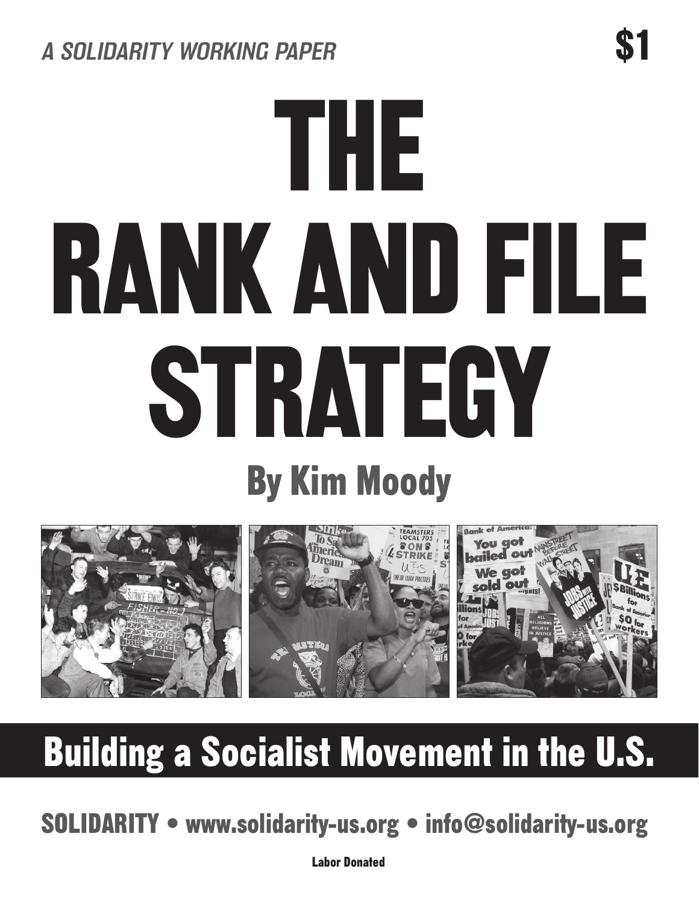# the rank and file STRATEGY By Kim Moody



## Building a Socialist Movement in the U.S.

SOLIDARITY • www.solidarity-us.org • info@solidarity-us.org

Labor Donated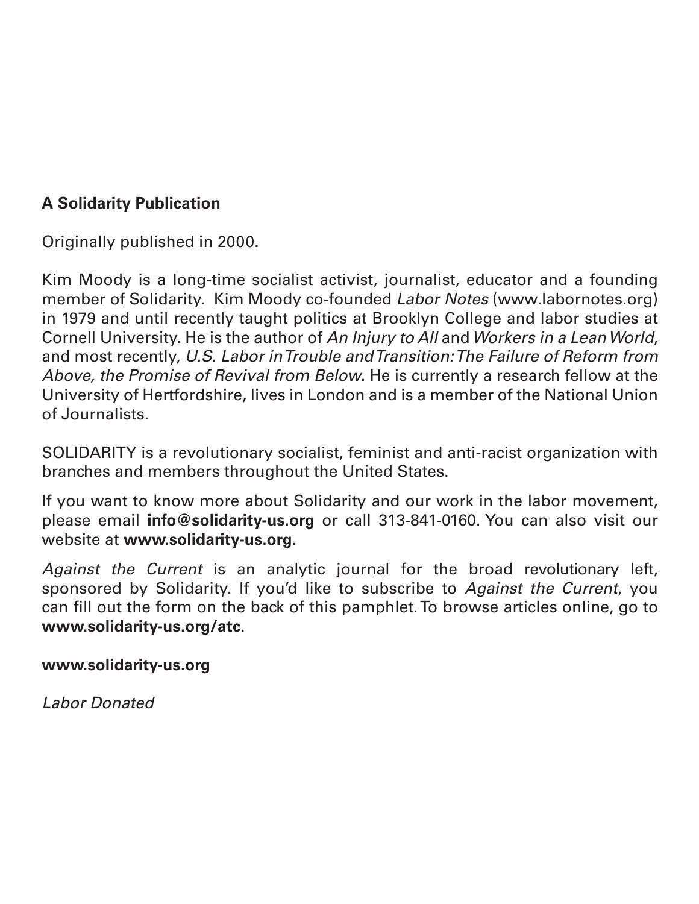#### **A Solidarity Publication**

Originally published in 2000.

Kim Moody is a long-time socialist activist, journalist, educator and a founding member of Solidarity. Kim Moody co-founded *Labor Notes* (www.labornotes.org) in 1979 and until recently taught politics at Brooklyn College and labor studies at Cornell University. He is the author of *An Injury to All* and *Workers in a Lean World*, and most recently, *U.S. Labor in Trouble and Transition: The Failure of Reform from Above, the Promise of Revival from Below*. He is currently a research fellow at the University of Hertfordshire, lives in London and is a member of the National Union of Journalists.

SOLIDARITY is a revolutionary socialist, feminist and anti-racist organization with branches and members throughout the United States.

If you want to know more about Solidarity and our work in the labor movement, please email **info@solidarity-us.org** or call 313-841-0160. You can also visit our website at **www.solidarity-us.org**.

*Against the Current* is an analytic journal for the broad revolutionary left, sponsored by Solidarity. If you'd like to subscribe to *Against the Current*, you can fill out the form on the back of this pamphlet. To browse articles online, go to **www.solidarity-us.org/atc**.

**www.solidarity-us.org**

*Labor Donated*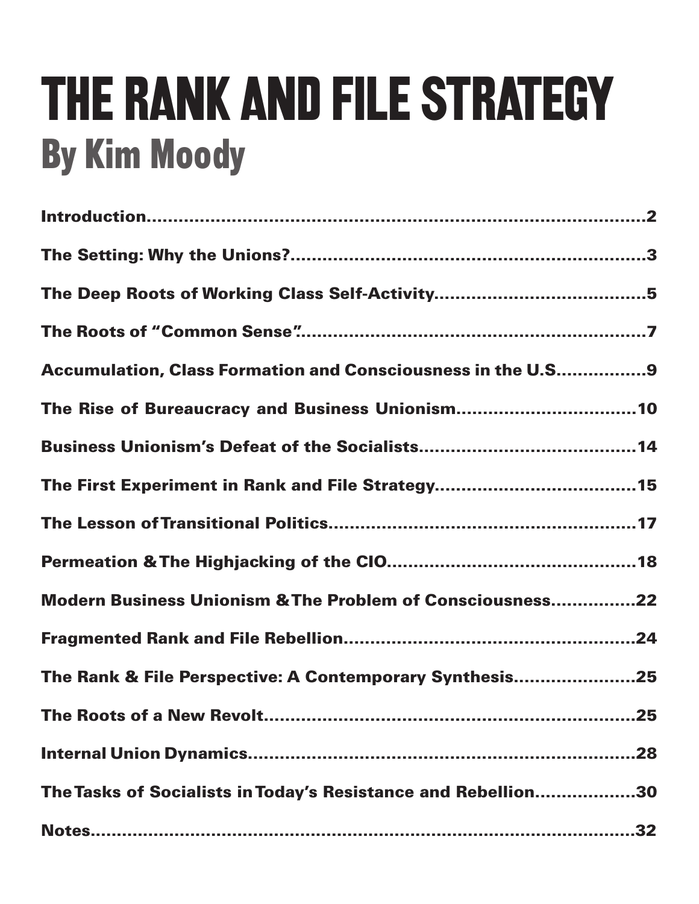## THE RANK AND FILE STRATEGY By Kim Moody

| <b>Accumulation, Class Formation and Consciousness in the U.S9</b> |
|--------------------------------------------------------------------|
|                                                                    |
|                                                                    |
|                                                                    |
|                                                                    |
|                                                                    |
| Modern Business Unionism & The Problem of Consciousness22          |
|                                                                    |
| The Rank & File Perspective: A Contemporary Synthesis25            |
| .25                                                                |
|                                                                    |
| The Tasks of Socialists in Today's Resistance and Rebellion30      |
|                                                                    |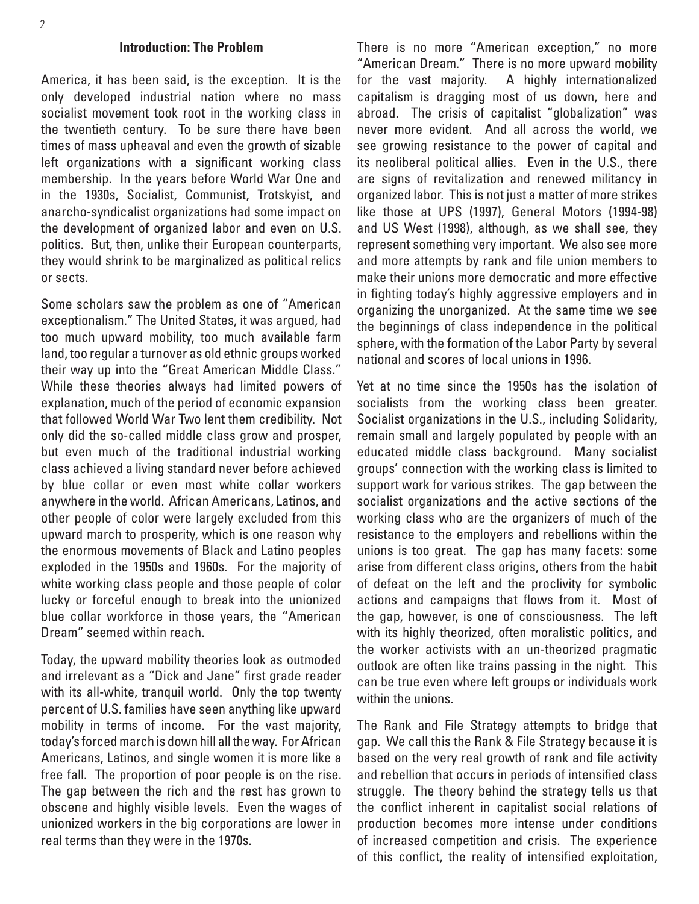#### **Introduction: The Problem**

America, it has been said, is the exception. It is the only developed industrial nation where no mass socialist movement took root in the working class in the twentieth century. To be sure there have been times of mass upheaval and even the growth of sizable left organizations with a significant working class membership. In the years before World War One and in the 1930s, Socialist, Communist, Trotskyist, and anarcho-syndicalist organizations had some impact on the development of organized labor and even on U.S. politics. But, then, unlike their European counterparts, they would shrink to be marginalized as political relics or sects.

Some scholars saw the problem as one of "American exceptionalism." The United States, it was argued, had too much upward mobility, too much available farm land, too regular a turnover as old ethnic groups worked their way up into the "Great American Middle Class." While these theories always had limited powers of explanation, much of the period of economic expansion that followed World War Two lent them credibility. Not only did the so-called middle class grow and prosper, but even much of the traditional industrial working class achieved a living standard never before achieved by blue collar or even most white collar workers anywhere in the world. African Americans, Latinos, and other people of color were largely excluded from this upward march to prosperity, which is one reason why the enormous movements of Black and Latino peoples exploded in the 1950s and 1960s. For the majority of white working class people and those people of color lucky or forceful enough to break into the unionized blue collar workforce in those years, the "American Dream" seemed within reach.

Today, the upward mobility theories look as outmoded and irrelevant as a "Dick and Jane" first grade reader with its all-white, tranquil world. Only the top twenty percent of U.S. families have seen anything like upward mobility in terms of income. For the vast majority, today's forced march is down hill all the way. For African Americans, Latinos, and single women it is more like a free fall. The proportion of poor people is on the rise. The gap between the rich and the rest has grown to obscene and highly visible levels. Even the wages of unionized workers in the big corporations are lower in real terms than they were in the 1970s.

There is no more "American exception," no more "American Dream." There is no more upward mobility for the vast majority. A highly internationalized capitalism is dragging most of us down, here and abroad. The crisis of capitalist "globalization" was never more evident. And all across the world, we see growing resistance to the power of capital and its neoliberal political allies. Even in the U.S., there are signs of revitalization and renewed militancy in organized labor. This is not just a matter of more strikes like those at UPS (1997), General Motors (1994-98) and US West (1998), although, as we shall see, they represent something very important. We also see more and more attempts by rank and file union members to make their unions more democratic and more effective in fighting today's highly aggressive employers and in organizing the unorganized. At the same time we see the beginnings of class independence in the political sphere, with the formation of the Labor Party by several national and scores of local unions in 1996.

Yet at no time since the 1950s has the isolation of socialists from the working class been greater. Socialist organizations in the U.S., including Solidarity, remain small and largely populated by people with an educated middle class background. Many socialist groups' connection with the working class is limited to support work for various strikes. The gap between the socialist organizations and the active sections of the working class who are the organizers of much of the resistance to the employers and rebellions within the unions is too great. The gap has many facets: some arise from different class origins, others from the habit of defeat on the left and the proclivity for symbolic actions and campaigns that flows from it. Most of the gap, however, is one of consciousness. The left with its highly theorized, often moralistic politics, and the worker activists with an un-theorized pragmatic outlook are often like trains passing in the night. This can be true even where left groups or individuals work within the unions.

The Rank and File Strategy attempts to bridge that gap. We call this the Rank & File Strategy because it is based on the very real growth of rank and file activity and rebellion that occurs in periods of intensified class struggle. The theory behind the strategy tells us that the conflict inherent in capitalist social relations of production becomes more intense under conditions of increased competition and crisis. The experience of this conflict, the reality of intensified exploitation,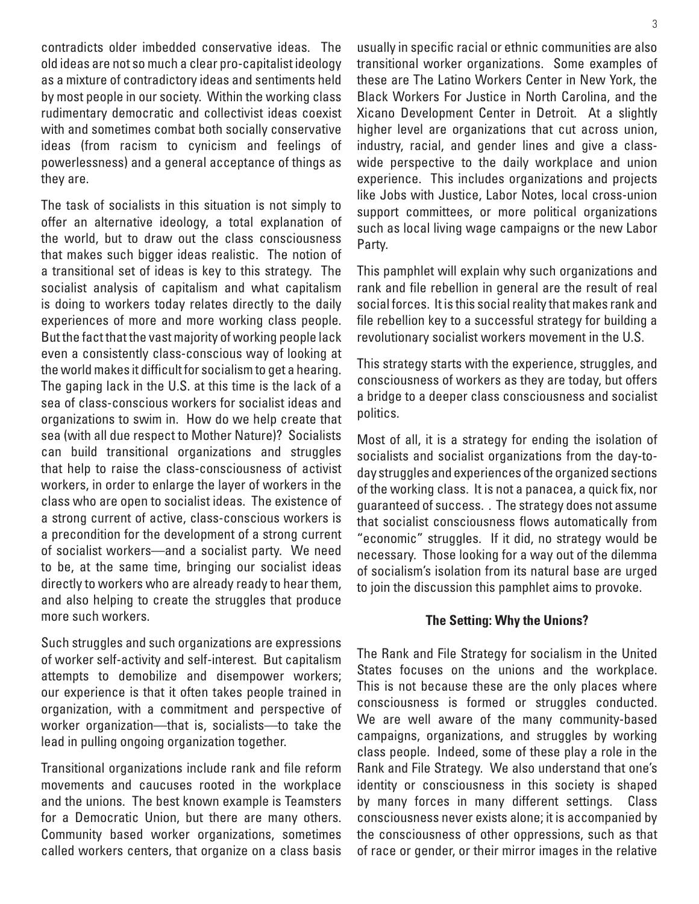contradicts older imbedded conservative ideas. The old ideas are not so much a clear pro-capitalist ideology as a mixture of contradictory ideas and sentiments held by most people in our society. Within the working class rudimentary democratic and collectivist ideas coexist with and sometimes combat both socially conservative ideas (from racism to cynicism and feelings of powerlessness) and a general acceptance of things as they are.

The task of socialists in this situation is not simply to offer an alternative ideology, a total explanation of the world, but to draw out the class consciousness that makes such bigger ideas realistic. The notion of a transitional set of ideas is key to this strategy. The socialist analysis of capitalism and what capitalism is doing to workers today relates directly to the daily experiences of more and more working class people. But the fact that the vast majority of working people lack even a consistently class-conscious way of looking at the world makes it difficult for socialism to get a hearing. The gaping lack in the U.S. at this time is the lack of a sea of class-conscious workers for socialist ideas and organizations to swim in. How do we help create that sea (with all due respect to Mother Nature)? Socialists can build transitional organizations and struggles that help to raise the class-consciousness of activist workers, in order to enlarge the layer of workers in the class who are open to socialist ideas. The existence of a strong current of active, class-conscious workers is a precondition for the development of a strong current of socialist workers—and a socialist party. We need to be, at the same time, bringing our socialist ideas directly to workers who are already ready to hear them, and also helping to create the struggles that produce more such workers.

Such struggles and such organizations are expressions of worker self-activity and self-interest. But capitalism attempts to demobilize and disempower workers; our experience is that it often takes people trained in organization, with a commitment and perspective of worker organization—that is, socialists—to take the lead in pulling ongoing organization together.

Transitional organizations include rank and file reform movements and caucuses rooted in the workplace and the unions. The best known example is Teamsters for a Democratic Union, but there are many others. Community based worker organizations, sometimes called workers centers, that organize on a class basis usually in specific racial or ethnic communities are also transitional worker organizations. Some examples of these are The Latino Workers Center in New York, the Black Workers For Justice in North Carolina, and the Xicano Development Center in Detroit. At a slightly higher level are organizations that cut across union, industry, racial, and gender lines and give a classwide perspective to the daily workplace and union experience. This includes organizations and projects like Jobs with Justice, Labor Notes, local cross-union support committees, or more political organizations such as local living wage campaigns or the new Labor Party.

This pamphlet will explain why such organizations and rank and file rebellion in general are the result of real social forces. It is this social reality that makes rank and file rebellion key to a successful strategy for building a revolutionary socialist workers movement in the U.S.

This strategy starts with the experience, struggles, and consciousness of workers as they are today, but offers a bridge to a deeper class consciousness and socialist politics.

Most of all, it is a strategy for ending the isolation of socialists and socialist organizations from the day-today struggles and experiences of the organized sections of the working class. It is not a panacea, a quick fix, nor guaranteed of success. . The strategy does not assume that socialist consciousness flows automatically from "economic" struggles. If it did, no strategy would be necessary. Those looking for a way out of the dilemma of socialism's isolation from its natural base are urged to join the discussion this pamphlet aims to provoke.

#### **The Setting: Why the Unions?**

The Rank and File Strategy for socialism in the United States focuses on the unions and the workplace. This is not because these are the only places where consciousness is formed or struggles conducted. We are well aware of the many community-based campaigns, organizations, and struggles by working class people. Indeed, some of these play a role in the Rank and File Strategy. We also understand that one's identity or consciousness in this society is shaped by many forces in many different settings. Class consciousness never exists alone; it is accompanied by the consciousness of other oppressions, such as that of race or gender, or their mirror images in the relative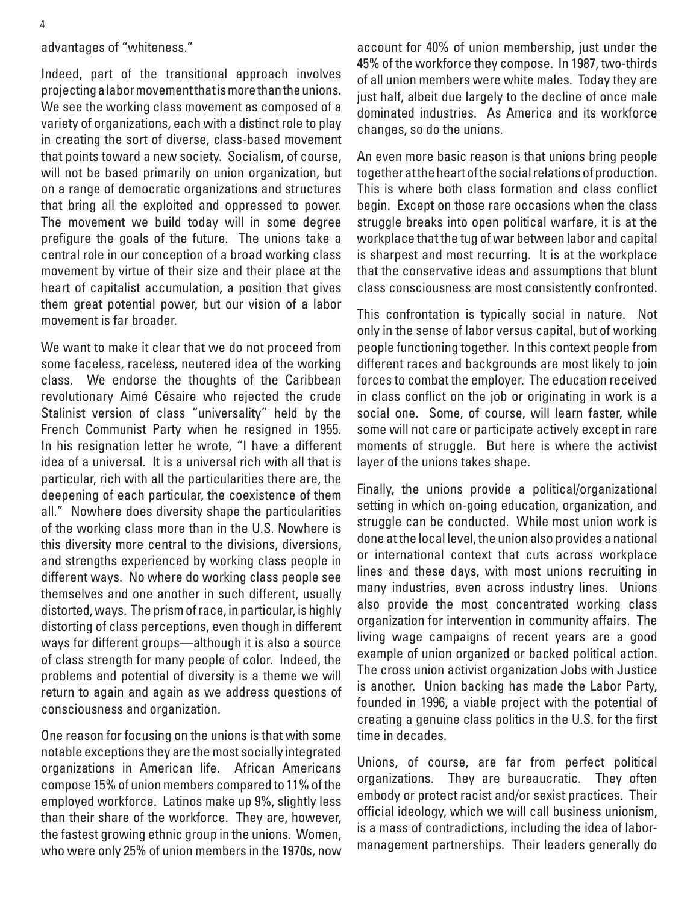#### advantages of "whiteness."

Indeed, part of the transitional approach involves projecting a labor movement that is more than the unions. We see the working class movement as composed of a variety of organizations, each with a distinct role to play in creating the sort of diverse, class-based movement that points toward a new society. Socialism, of course, will not be based primarily on union organization, but on a range of democratic organizations and structures that bring all the exploited and oppressed to power. The movement we build today will in some degree prefigure the goals of the future. The unions take a central role in our conception of a broad working class movement by virtue of their size and their place at the heart of capitalist accumulation, a position that gives them great potential power, but our vision of a labor movement is far broader.

We want to make it clear that we do not proceed from some faceless, raceless, neutered idea of the working class. We endorse the thoughts of the Caribbean revolutionary Aimé Césaire who rejected the crude Stalinist version of class "universality" held by the French Communist Party when he resigned in 1955. In his resignation letter he wrote, "I have a different idea of a universal. It is a universal rich with all that is particular, rich with all the particularities there are, the deepening of each particular, the coexistence of them all." Nowhere does diversity shape the particularities of the working class more than in the U.S. Nowhere is this diversity more central to the divisions, diversions, and strengths experienced by working class people in different ways. No where do working class people see themselves and one another in such different, usually distorted, ways. The prism of race, in particular, is highly distorting of class perceptions, even though in different ways for different groups—although it is also a source of class strength for many people of color. Indeed, the problems and potential of diversity is a theme we will return to again and again as we address questions of consciousness and organization.

One reason for focusing on the unions is that with some notable exceptions they are the most socially integrated organizations in American life. African Americans compose 15% of union members compared to 11% of the employed workforce. Latinos make up 9%, slightly less than their share of the workforce. They are, however, the fastest growing ethnic group in the unions. Women, who were only 25% of union members in the 1970s, now account for 40% of union membership, just under the 45% of the workforce they compose. In 1987, two-thirds of all union members were white males. Today they are just half, albeit due largely to the decline of once male dominated industries. As America and its workforce changes, so do the unions.

An even more basic reason is that unions bring people together at the heart of the social relations of production. This is where both class formation and class conflict begin. Except on those rare occasions when the class struggle breaks into open political warfare, it is at the workplace that the tug of war between labor and capital is sharpest and most recurring. It is at the workplace that the conservative ideas and assumptions that blunt class consciousness are most consistently confronted.

This confrontation is typically social in nature. Not only in the sense of labor versus capital, but of working people functioning together. In this context people from different races and backgrounds are most likely to join forces to combat the employer. The education received in class conflict on the job or originating in work is a social one. Some, of course, will learn faster, while some will not care or participate actively except in rare moments of struggle. But here is where the activist layer of the unions takes shape.

Finally, the unions provide a political/organizational setting in which on-going education, organization, and struggle can be conducted. While most union work is done at the local level, the union also provides a national or international context that cuts across workplace lines and these days, with most unions recruiting in many industries, even across industry lines. Unions also provide the most concentrated working class organization for intervention in community affairs. The living wage campaigns of recent years are a good example of union organized or backed political action. The cross union activist organization Jobs with Justice is another. Union backing has made the Labor Party, founded in 1996, a viable project with the potential of creating a genuine class politics in the U.S. for the first time in decades.

Unions, of course, are far from perfect political organizations. They are bureaucratic. They often embody or protect racist and/or sexist practices. Their official ideology, which we will call business unionism, is a mass of contradictions, including the idea of labormanagement partnerships. Their leaders generally do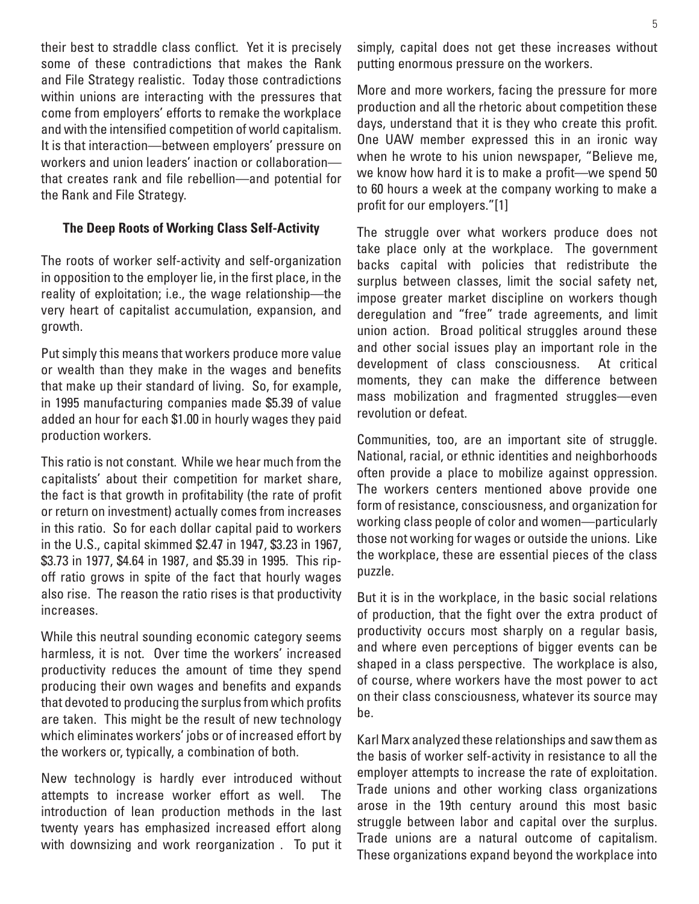their best to straddle class conflict. Yet it is precisely some of these contradictions that makes the Rank and File Strategy realistic. Today those contradictions within unions are interacting with the pressures that come from employers' efforts to remake the workplace and with the intensified competition of world capitalism. It is that interaction—between employers' pressure on workers and union leaders' inaction or collaboration that creates rank and file rebellion—and potential for the Rank and File Strategy.

#### **The Deep Roots of Working Class Self-Activity**

The roots of worker self-activity and self-organization in opposition to the employer lie, in the first place, in the reality of exploitation; i.e., the wage relationship—the very heart of capitalist accumulation, expansion, and growth.

Put simply this means that workers produce more value or wealth than they make in the wages and benefits that make up their standard of living. So, for example, in 1995 manufacturing companies made \$5.39 of value added an hour for each \$1.00 in hourly wages they paid production workers.

This ratio is not constant. While we hear much from the capitalists' about their competition for market share, the fact is that growth in profitability (the rate of profit or return on investment) actually comes from increases in this ratio. So for each dollar capital paid to workers in the U.S., capital skimmed \$2.47 in 1947, \$3.23 in 1967, \$3.73 in 1977, \$4.64 in 1987, and \$5.39 in 1995. This ripoff ratio grows in spite of the fact that hourly wages also rise. The reason the ratio rises is that productivity increases.

While this neutral sounding economic category seems harmless, it is not. Over time the workers' increased productivity reduces the amount of time they spend producing their own wages and benefits and expands that devoted to producing the surplus from which profits are taken. This might be the result of new technology which eliminates workers' jobs or of increased effort by the workers or, typically, a combination of both.

New technology is hardly ever introduced without attempts to increase worker effort as well. The introduction of lean production methods in the last twenty years has emphasized increased effort along with downsizing and work reorganization . To put it simply, capital does not get these increases without putting enormous pressure on the workers.

More and more workers, facing the pressure for more production and all the rhetoric about competition these days, understand that it is they who create this profit. One UAW member expressed this in an ironic way when he wrote to his union newspaper, "Believe me, we know how hard it is to make a profit—we spend 50 to 60 hours a week at the company working to make a profit for our employers."[1]

The struggle over what workers produce does not take place only at the workplace. The government backs capital with policies that redistribute the surplus between classes, limit the social safety net, impose greater market discipline on workers though deregulation and "free" trade agreements, and limit union action. Broad political struggles around these and other social issues play an important role in the development of class consciousness. At critical moments, they can make the difference between mass mobilization and fragmented struggles—even revolution or defeat.

Communities, too, are an important site of struggle. National, racial, or ethnic identities and neighborhoods often provide a place to mobilize against oppression. The workers centers mentioned above provide one form of resistance, consciousness, and organization for working class people of color and women—particularly those not working for wages or outside the unions. Like the workplace, these are essential pieces of the class puzzle.

But it is in the workplace, in the basic social relations of production, that the fight over the extra product of productivity occurs most sharply on a regular basis, and where even perceptions of bigger events can be shaped in a class perspective. The workplace is also, of course, where workers have the most power to act on their class consciousness, whatever its source may be.

Karl Marx analyzed these relationships and saw them as the basis of worker self-activity in resistance to all the employer attempts to increase the rate of exploitation. Trade unions and other working class organizations arose in the 19th century around this most basic struggle between labor and capital over the surplus. Trade unions are a natural outcome of capitalism. These organizations expand beyond the workplace into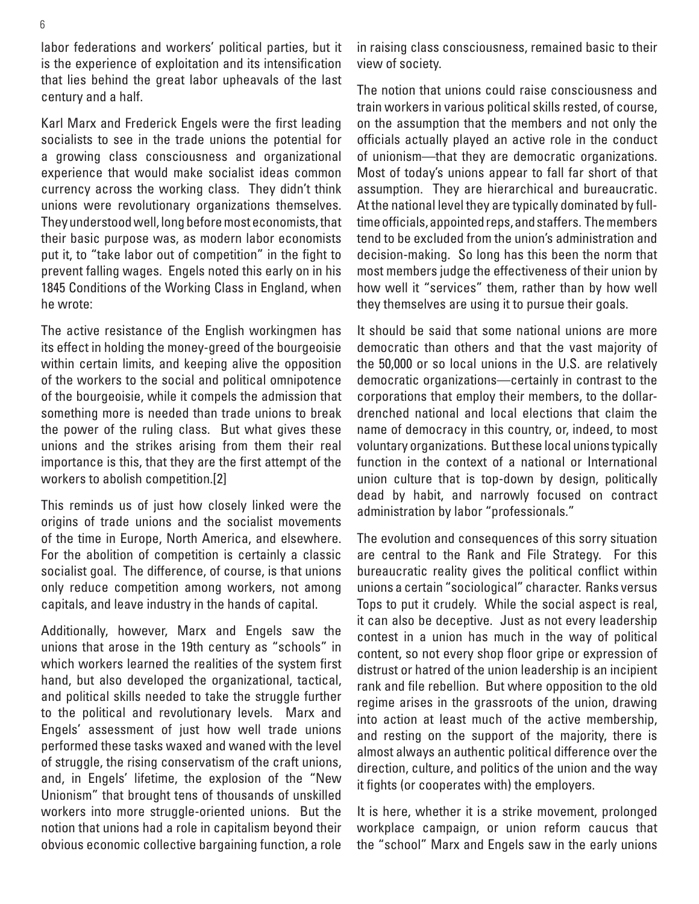labor federations and workers' political parties, but it is the experience of exploitation and its intensification that lies behind the great labor upheavals of the last century and a half.

Karl Marx and Frederick Engels were the first leading socialists to see in the trade unions the potential for a growing class consciousness and organizational experience that would make socialist ideas common currency across the working class. They didn't think unions were revolutionary organizations themselves. They understood well, long before most economists, that their basic purpose was, as modern labor economists put it, to "take labor out of competition" in the fight to prevent falling wages. Engels noted this early on in his 1845 Conditions of the Working Class in England, when he wrote:

The active resistance of the English workingmen has its effect in holding the money-greed of the bourgeoisie within certain limits, and keeping alive the opposition of the workers to the social and political omnipotence of the bourgeoisie, while it compels the admission that something more is needed than trade unions to break the power of the ruling class. But what gives these unions and the strikes arising from them their real importance is this, that they are the first attempt of the workers to abolish competition.[2]

This reminds us of just how closely linked were the origins of trade unions and the socialist movements of the time in Europe, North America, and elsewhere. For the abolition of competition is certainly a classic socialist goal. The difference, of course, is that unions only reduce competition among workers, not among capitals, and leave industry in the hands of capital.

Additionally, however, Marx and Engels saw the unions that arose in the 19th century as "schools" in which workers learned the realities of the system first hand, but also developed the organizational, tactical, and political skills needed to take the struggle further to the political and revolutionary levels. Marx and Engels' assessment of just how well trade unions performed these tasks waxed and waned with the level of struggle, the rising conservatism of the craft unions, and, in Engels' lifetime, the explosion of the "New Unionism" that brought tens of thousands of unskilled workers into more struggle-oriented unions. But the notion that unions had a role in capitalism beyond their obvious economic collective bargaining function, a role in raising class consciousness, remained basic to their view of society.

The notion that unions could raise consciousness and train workers in various political skills rested, of course, on the assumption that the members and not only the officials actually played an active role in the conduct of unionism—that they are democratic organizations. Most of today's unions appear to fall far short of that assumption. They are hierarchical and bureaucratic. At the national level they are typically dominated by fulltime officials, appointed reps, and staffers. The members tend to be excluded from the union's administration and decision-making. So long has this been the norm that most members judge the effectiveness of their union by how well it "services" them, rather than by how well they themselves are using it to pursue their goals.

It should be said that some national unions are more democratic than others and that the vast majority of the 50,000 or so local unions in the U.S. are relatively democratic organizations—certainly in contrast to the corporations that employ their members, to the dollardrenched national and local elections that claim the name of democracy in this country, or, indeed, to most voluntary organizations. But these local unions typically function in the context of a national or International union culture that is top-down by design, politically dead by habit, and narrowly focused on contract administration by labor "professionals."

The evolution and consequences of this sorry situation are central to the Rank and File Strategy. For this bureaucratic reality gives the political conflict within unions a certain "sociological" character. Ranks versus Tops to put it crudely. While the social aspect is real, it can also be deceptive. Just as not every leadership contest in a union has much in the way of political content, so not every shop floor gripe or expression of distrust or hatred of the union leadership is an incipient rank and file rebellion. But where opposition to the old regime arises in the grassroots of the union, drawing into action at least much of the active membership, and resting on the support of the majority, there is almost always an authentic political difference over the direction, culture, and politics of the union and the way it fights (or cooperates with) the employers.

It is here, whether it is a strike movement, prolonged workplace campaign, or union reform caucus that the "school" Marx and Engels saw in the early unions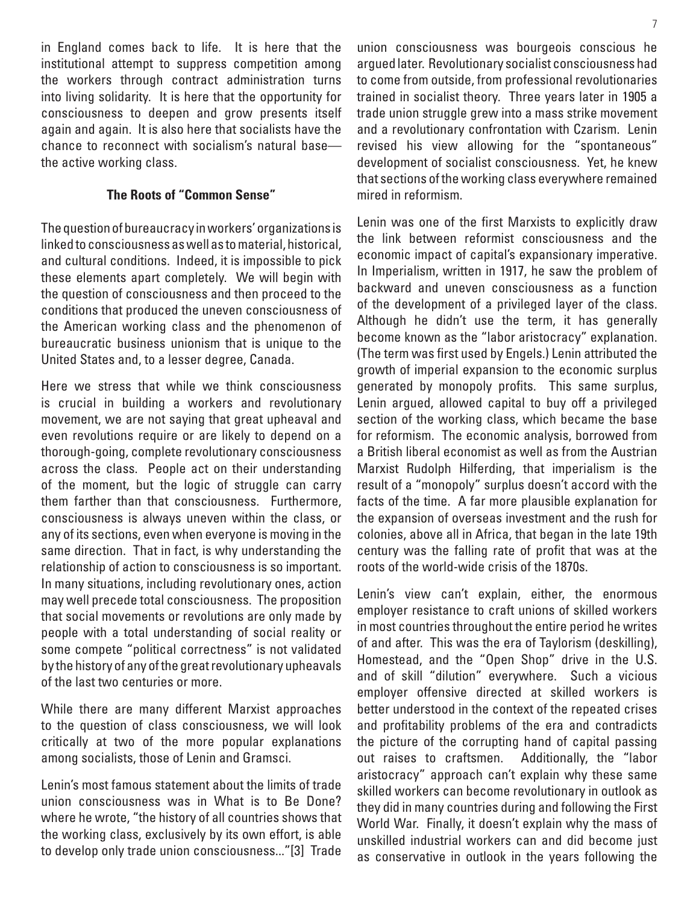in England comes back to life. It is here that the institutional attempt to suppress competition among the workers through contract administration turns into living solidarity. It is here that the opportunity for consciousness to deepen and grow presents itself again and again. It is also here that socialists have the chance to reconnect with socialism's natural base the active working class.

#### **The Roots of "Common Sense"**

The question of bureaucracy in workers' organizations is linked to consciousness as well as to material, historical, and cultural conditions. Indeed, it is impossible to pick these elements apart completely. We will begin with the question of consciousness and then proceed to the conditions that produced the uneven consciousness of the American working class and the phenomenon of bureaucratic business unionism that is unique to the United States and, to a lesser degree, Canada.

Here we stress that while we think consciousness is crucial in building a workers and revolutionary movement, we are not saying that great upheaval and even revolutions require or are likely to depend on a thorough-going, complete revolutionary consciousness across the class. People act on their understanding of the moment, but the logic of struggle can carry them farther than that consciousness. Furthermore, consciousness is always uneven within the class, or any of its sections, even when everyone is moving in the same direction. That in fact, is why understanding the relationship of action to consciousness is so important. In many situations, including revolutionary ones, action may well precede total consciousness. The proposition that social movements or revolutions are only made by people with a total understanding of social reality or some compete "political correctness" is not validated by the history of any of the great revolutionary upheavals of the last two centuries or more.

While there are many different Marxist approaches to the question of class consciousness, we will look critically at two of the more popular explanations among socialists, those of Lenin and Gramsci.

Lenin's most famous statement about the limits of trade union consciousness was in What is to Be Done? where he wrote, "the history of all countries shows that the working class, exclusively by its own effort, is able to develop only trade union consciousness..."[3] Trade

union consciousness was bourgeois conscious he argued later. Revolutionary socialist consciousness had to come from outside, from professional revolutionaries trained in socialist theory. Three years later in 1905 a trade union struggle grew into a mass strike movement and a revolutionary confrontation with Czarism. Lenin revised his view allowing for the "spontaneous" development of socialist consciousness. Yet, he knew that sections of the working class everywhere remained mired in reformism.

Lenin was one of the first Marxists to explicitly draw the link between reformist consciousness and the economic impact of capital's expansionary imperative. In Imperialism, written in 1917, he saw the problem of backward and uneven consciousness as a function of the development of a privileged layer of the class. Although he didn't use the term, it has generally become known as the "labor aristocracy" explanation. (The term was first used by Engels.) Lenin attributed the growth of imperial expansion to the economic surplus generated by monopoly profits. This same surplus, Lenin argued, allowed capital to buy off a privileged section of the working class, which became the base for reformism. The economic analysis, borrowed from a British liberal economist as well as from the Austrian Marxist Rudolph Hilferding, that imperialism is the result of a "monopoly" surplus doesn't accord with the facts of the time. A far more plausible explanation for the expansion of overseas investment and the rush for colonies, above all in Africa, that began in the late 19th century was the falling rate of profit that was at the roots of the world-wide crisis of the 1870s.

Lenin's view can't explain, either, the enormous employer resistance to craft unions of skilled workers in most countries throughout the entire period he writes of and after. This was the era of Taylorism (deskilling), Homestead, and the "Open Shop" drive in the U.S. and of skill "dilution" everywhere. Such a vicious employer offensive directed at skilled workers is better understood in the context of the repeated crises and profitability problems of the era and contradicts the picture of the corrupting hand of capital passing out raises to craftsmen. Additionally, the "labor aristocracy" approach can't explain why these same skilled workers can become revolutionary in outlook as they did in many countries during and following the First World War. Finally, it doesn't explain why the mass of unskilled industrial workers can and did become just as conservative in outlook in the years following the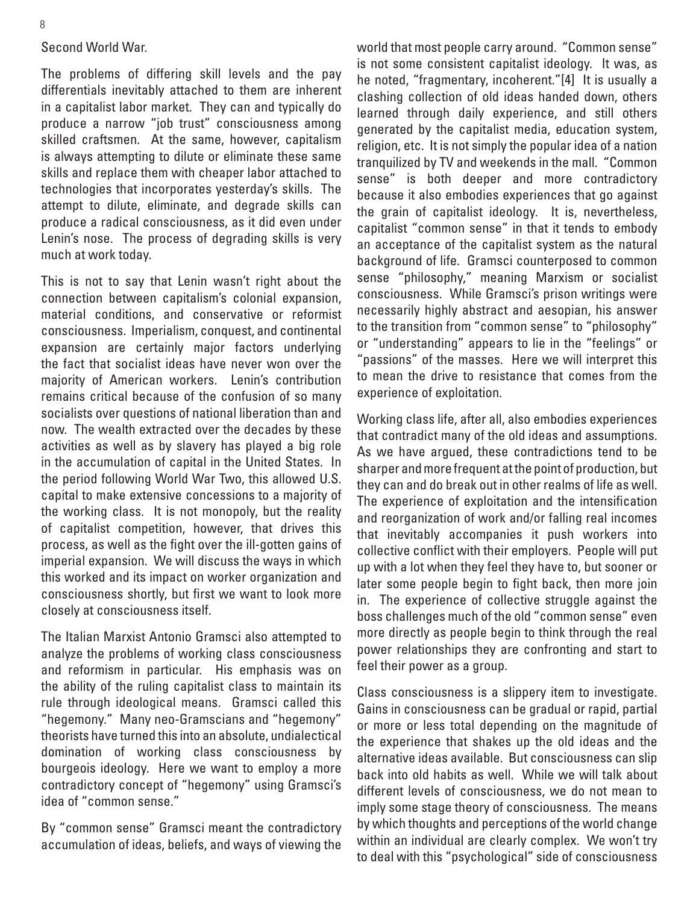#### Second World War.

The problems of differing skill levels and the pay differentials inevitably attached to them are inherent in a capitalist labor market. They can and typically do produce a narrow "job trust" consciousness among skilled craftsmen. At the same, however, capitalism is always attempting to dilute or eliminate these same skills and replace them with cheaper labor attached to technologies that incorporates yesterday's skills. The attempt to dilute, eliminate, and degrade skills can produce a radical consciousness, as it did even under Lenin's nose. The process of degrading skills is very much at work today.

This is not to say that Lenin wasn't right about the connection between capitalism's colonial expansion, material conditions, and conservative or reformist consciousness. Imperialism, conquest, and continental expansion are certainly major factors underlying the fact that socialist ideas have never won over the majority of American workers. Lenin's contribution remains critical because of the confusion of so many socialists over questions of national liberation than and now. The wealth extracted over the decades by these activities as well as by slavery has played a big role in the accumulation of capital in the United States. In the period following World War Two, this allowed U.S. capital to make extensive concessions to a majority of the working class. It is not monopoly, but the reality of capitalist competition, however, that drives this process, as well as the fight over the ill-gotten gains of imperial expansion. We will discuss the ways in which this worked and its impact on worker organization and consciousness shortly, but first we want to look more closely at consciousness itself.

The Italian Marxist Antonio Gramsci also attempted to analyze the problems of working class consciousness and reformism in particular. His emphasis was on the ability of the ruling capitalist class to maintain its rule through ideological means. Gramsci called this "hegemony." Many neo-Gramscians and "hegemony" theorists have turned this into an absolute, undialectical domination of working class consciousness by bourgeois ideology. Here we want to employ a more contradictory concept of "hegemony" using Gramsci's idea of "common sense."

By "common sense" Gramsci meant the contradictory accumulation of ideas, beliefs, and ways of viewing the world that most people carry around. "Common sense" is not some consistent capitalist ideology. It was, as he noted, "fragmentary, incoherent."[4] It is usually a clashing collection of old ideas handed down, others learned through daily experience, and still others generated by the capitalist media, education system, religion, etc. It is not simply the popular idea of a nation tranquilized by TV and weekends in the mall. "Common sense" is both deeper and more contradictory because it also embodies experiences that go against the grain of capitalist ideology. It is, nevertheless, capitalist "common sense" in that it tends to embody an acceptance of the capitalist system as the natural background of life. Gramsci counterposed to common sense "philosophy," meaning Marxism or socialist consciousness. While Gramsci's prison writings were necessarily highly abstract and aesopian, his answer to the transition from "common sense" to "philosophy" or "understanding" appears to lie in the "feelings" or "passions" of the masses. Here we will interpret this to mean the drive to resistance that comes from the experience of exploitation.

Working class life, after all, also embodies experiences that contradict many of the old ideas and assumptions. As we have argued, these contradictions tend to be sharper and more frequent at the point of production, but they can and do break out in other realms of life as well. The experience of exploitation and the intensification and reorganization of work and/or falling real incomes that inevitably accompanies it push workers into collective conflict with their employers. People will put up with a lot when they feel they have to, but sooner or later some people begin to fight back, then more join in. The experience of collective struggle against the boss challenges much of the old "common sense" even more directly as people begin to think through the real power relationships they are confronting and start to feel their power as a group.

Class consciousness is a slippery item to investigate. Gains in consciousness can be gradual or rapid, partial or more or less total depending on the magnitude of the experience that shakes up the old ideas and the alternative ideas available. But consciousness can slip back into old habits as well. While we will talk about different levels of consciousness, we do not mean to imply some stage theory of consciousness. The means by which thoughts and perceptions of the world change within an individual are clearly complex. We won't try to deal with this "psychological" side of consciousness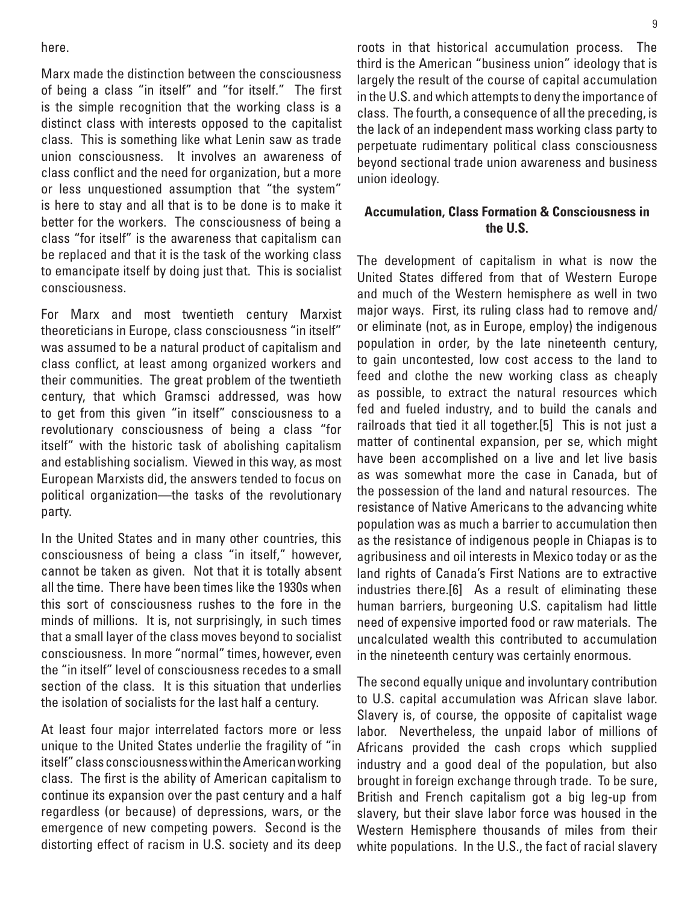here.

Marx made the distinction between the consciousness of being a class "in itself" and "for itself." The first is the simple recognition that the working class is a distinct class with interests opposed to the capitalist class. This is something like what Lenin saw as trade union consciousness. It involves an awareness of class conflict and the need for organization, but a more or less unquestioned assumption that "the system" is here to stay and all that is to be done is to make it better for the workers. The consciousness of being a class "for itself" is the awareness that capitalism can be replaced and that it is the task of the working class to emancipate itself by doing just that. This is socialist consciousness.

For Marx and most twentieth century Marxist theoreticians in Europe, class consciousness "in itself" was assumed to be a natural product of capitalism and class conflict, at least among organized workers and their communities. The great problem of the twentieth century, that which Gramsci addressed, was how to get from this given "in itself" consciousness to a revolutionary consciousness of being a class "for itself" with the historic task of abolishing capitalism and establishing socialism. Viewed in this way, as most European Marxists did, the answers tended to focus on political organization—the tasks of the revolutionary party.

In the United States and in many other countries, this consciousness of being a class "in itself," however, cannot be taken as given. Not that it is totally absent all the time. There have been times like the 1930s when this sort of consciousness rushes to the fore in the minds of millions. It is, not surprisingly, in such times that a small layer of the class moves beyond to socialist consciousness. In more "normal" times, however, even the "in itself" level of consciousness recedes to a small section of the class. It is this situation that underlies the isolation of socialists for the last half a century.

At least four major interrelated factors more or less unique to the United States underlie the fragility of "in itself" class consciousness within the American working class. The first is the ability of American capitalism to continue its expansion over the past century and a half regardless (or because) of depressions, wars, or the emergence of new competing powers. Second is the distorting effect of racism in U.S. society and its deep roots in that historical accumulation process. The third is the American "business union" ideology that is largely the result of the course of capital accumulation in the U.S. and which attempts to deny the importance of class. The fourth, a consequence of all the preceding, is the lack of an independent mass working class party to perpetuate rudimentary political class consciousness beyond sectional trade union awareness and business union ideology.

#### **Accumulation, Class Formation & Consciousness in the U.S.**

The development of capitalism in what is now the United States differed from that of Western Europe and much of the Western hemisphere as well in two major ways. First, its ruling class had to remove and/ or eliminate (not, as in Europe, employ) the indigenous population in order, by the late nineteenth century, to gain uncontested, low cost access to the land to feed and clothe the new working class as cheaply as possible, to extract the natural resources which fed and fueled industry, and to build the canals and railroads that tied it all together.[5] This is not just a matter of continental expansion, per se, which might have been accomplished on a live and let live basis as was somewhat more the case in Canada, but of the possession of the land and natural resources. The resistance of Native Americans to the advancing white population was as much a barrier to accumulation then as the resistance of indigenous people in Chiapas is to agribusiness and oil interests in Mexico today or as the land rights of Canada's First Nations are to extractive industries there.[6] As a result of eliminating these human barriers, burgeoning U.S. capitalism had little need of expensive imported food or raw materials. The uncalculated wealth this contributed to accumulation in the nineteenth century was certainly enormous.

The second equally unique and involuntary contribution to U.S. capital accumulation was African slave labor. Slavery is, of course, the opposite of capitalist wage labor. Nevertheless, the unpaid labor of millions of Africans provided the cash crops which supplied industry and a good deal of the population, but also brought in foreign exchange through trade. To be sure, British and French capitalism got a big leg-up from slavery, but their slave labor force was housed in the Western Hemisphere thousands of miles from their white populations. In the U.S., the fact of racial slavery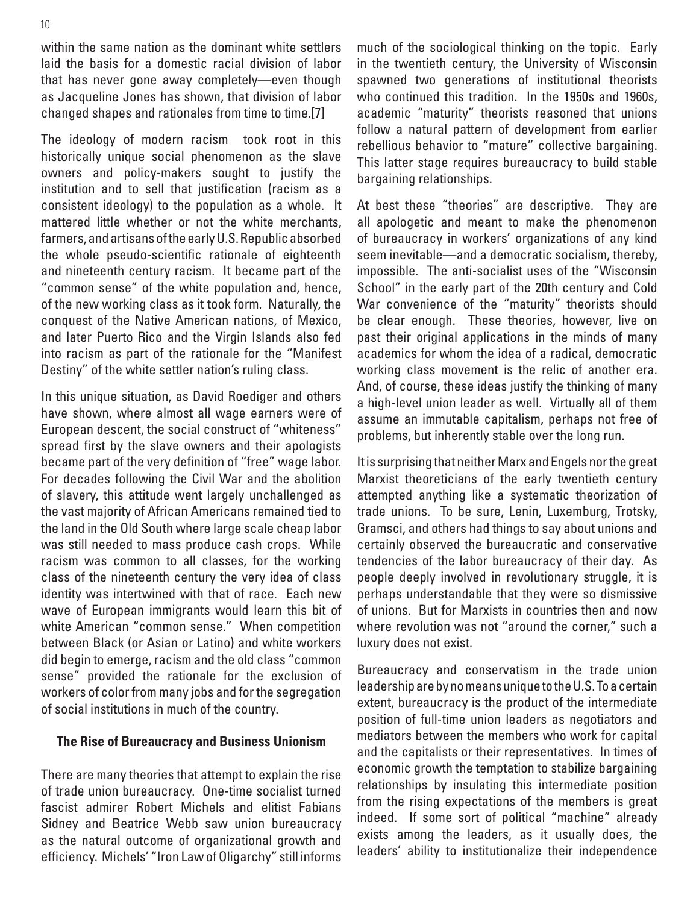within the same nation as the dominant white settlers laid the basis for a domestic racial division of labor that has never gone away completely—even though as Jacqueline Jones has shown, that division of labor changed shapes and rationales from time to time.[7]

The ideology of modern racism took root in this historically unique social phenomenon as the slave owners and policy-makers sought to justify the institution and to sell that justification (racism as a consistent ideology) to the population as a whole. It mattered little whether or not the white merchants, farmers, and artisans of the early U.S. Republic absorbed the whole pseudo-scientific rationale of eighteenth and nineteenth century racism. It became part of the "common sense" of the white population and, hence, of the new working class as it took form. Naturally, the conquest of the Native American nations, of Mexico, and later Puerto Rico and the Virgin Islands also fed into racism as part of the rationale for the "Manifest Destiny" of the white settler nation's ruling class.

In this unique situation, as David Roediger and others have shown, where almost all wage earners were of European descent, the social construct of "whiteness" spread first by the slave owners and their apologists became part of the very definition of "free" wage labor. For decades following the Civil War and the abolition of slavery, this attitude went largely unchallenged as the vast majority of African Americans remained tied to the land in the Old South where large scale cheap labor was still needed to mass produce cash crops. While racism was common to all classes, for the working class of the nineteenth century the very idea of class identity was intertwined with that of race. Each new wave of European immigrants would learn this bit of white American "common sense." When competition between Black (or Asian or Latino) and white workers did begin to emerge, racism and the old class "common sense" provided the rationale for the exclusion of workers of color from many jobs and for the segregation of social institutions in much of the country.

#### **The Rise of Bureaucracy and Business Unionism**

There are many theories that attempt to explain the rise of trade union bureaucracy. One-time socialist turned fascist admirer Robert Michels and elitist Fabians Sidney and Beatrice Webb saw union bureaucracy as the natural outcome of organizational growth and efficiency. Michels' "Iron Law of Oligarchy" still informs much of the sociological thinking on the topic. Early in the twentieth century, the University of Wisconsin spawned two generations of institutional theorists who continued this tradition. In the 1950s and 1960s, academic "maturity" theorists reasoned that unions follow a natural pattern of development from earlier rebellious behavior to "mature" collective bargaining. This latter stage requires bureaucracy to build stable bargaining relationships.

At best these "theories" are descriptive. They are all apologetic and meant to make the phenomenon of bureaucracy in workers' organizations of any kind seem inevitable—and a democratic socialism, thereby, impossible. The anti-socialist uses of the "Wisconsin School" in the early part of the 20th century and Cold War convenience of the "maturity" theorists should be clear enough. These theories, however, live on past their original applications in the minds of many academics for whom the idea of a radical, democratic working class movement is the relic of another era. And, of course, these ideas justify the thinking of many a high-level union leader as well. Virtually all of them assume an immutable capitalism, perhaps not free of problems, but inherently stable over the long run.

It is surprising that neither Marx and Engels nor the great Marxist theoreticians of the early twentieth century attempted anything like a systematic theorization of trade unions. To be sure, Lenin, Luxemburg, Trotsky, Gramsci, and others had things to say about unions and certainly observed the bureaucratic and conservative tendencies of the labor bureaucracy of their day. As people deeply involved in revolutionary struggle, it is perhaps understandable that they were so dismissive of unions. But for Marxists in countries then and now where revolution was not "around the corner," such a luxury does not exist.

Bureaucracy and conservatism in the trade union leadership are by no means unique to the U.S. To a certain extent, bureaucracy is the product of the intermediate position of full-time union leaders as negotiators and mediators between the members who work for capital and the capitalists or their representatives. In times of economic growth the temptation to stabilize bargaining relationships by insulating this intermediate position from the rising expectations of the members is great indeed. If some sort of political "machine" already exists among the leaders, as it usually does, the leaders' ability to institutionalize their independence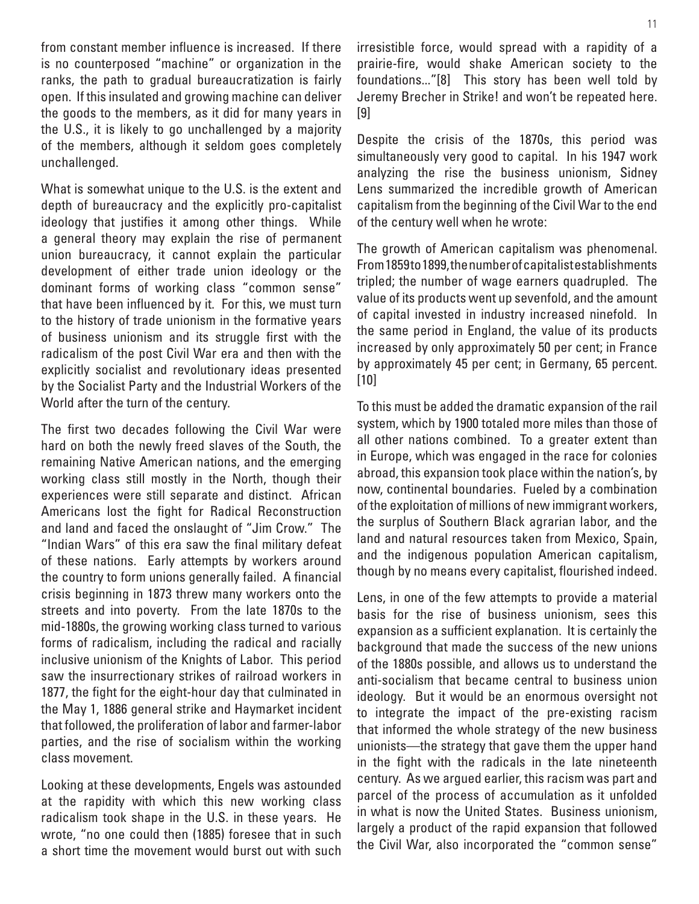from constant member influence is increased. If there is no counterposed "machine" or organization in the ranks, the path to gradual bureaucratization is fairly open. If this insulated and growing machine can deliver the goods to the members, as it did for many years in the U.S., it is likely to go unchallenged by a majority of the members, although it seldom goes completely unchallenged.

What is somewhat unique to the U.S. is the extent and depth of bureaucracy and the explicitly pro-capitalist ideology that justifies it among other things. While a general theory may explain the rise of permanent union bureaucracy, it cannot explain the particular development of either trade union ideology or the dominant forms of working class "common sense" that have been influenced by it. For this, we must turn to the history of trade unionism in the formative years of business unionism and its struggle first with the radicalism of the post Civil War era and then with the explicitly socialist and revolutionary ideas presented by the Socialist Party and the Industrial Workers of the World after the turn of the century.

The first two decades following the Civil War were hard on both the newly freed slaves of the South, the remaining Native American nations, and the emerging working class still mostly in the North, though their experiences were still separate and distinct. African Americans lost the fight for Radical Reconstruction and land and faced the onslaught of "Jim Crow." The "Indian Wars" of this era saw the final military defeat of these nations. Early attempts by workers around the country to form unions generally failed. A financial crisis beginning in 1873 threw many workers onto the streets and into poverty. From the late 1870s to the mid-1880s, the growing working class turned to various forms of radicalism, including the radical and racially inclusive unionism of the Knights of Labor. This period saw the insurrectionary strikes of railroad workers in 1877, the fight for the eight-hour day that culminated in the May 1, 1886 general strike and Haymarket incident that followed, the proliferation of labor and farmer-labor parties, and the rise of socialism within the working class movement.

Looking at these developments, Engels was astounded at the rapidity with which this new working class radicalism took shape in the U.S. in these years. He wrote, "no one could then (1885) foresee that in such a short time the movement would burst out with such irresistible force, would spread with a rapidity of a prairie-fire, would shake American society to the foundations..."[8] This story has been well told by Jeremy Brecher in Strike! and won't be repeated here. [9]

Despite the crisis of the 1870s, this period was simultaneously very good to capital. In his 1947 work analyzing the rise the business unionism, Sidney Lens summarized the incredible growth of American capitalism from the beginning of the Civil War to the end of the century well when he wrote:

The growth of American capitalism was phenomenal. From 1859 to 1899, the number of capitalist establishments tripled; the number of wage earners quadrupled. The value of its products went up sevenfold, and the amount of capital invested in industry increased ninefold. In the same period in England, the value of its products increased by only approximately 50 per cent; in France by approximately 45 per cent; in Germany, 65 percent. [10]

To this must be added the dramatic expansion of the rail system, which by 1900 totaled more miles than those of all other nations combined. To a greater extent than in Europe, which was engaged in the race for colonies abroad, this expansion took place within the nation's, by now, continental boundaries. Fueled by a combination of the exploitation of millions of new immigrant workers, the surplus of Southern Black agrarian labor, and the land and natural resources taken from Mexico, Spain, and the indigenous population American capitalism, though by no means every capitalist, flourished indeed.

Lens, in one of the few attempts to provide a material basis for the rise of business unionism, sees this expansion as a sufficient explanation. It is certainly the background that made the success of the new unions of the 1880s possible, and allows us to understand the anti-socialism that became central to business union ideology. But it would be an enormous oversight not to integrate the impact of the pre-existing racism that informed the whole strategy of the new business unionists—the strategy that gave them the upper hand in the fight with the radicals in the late nineteenth century. As we argued earlier, this racism was part and parcel of the process of accumulation as it unfolded in what is now the United States. Business unionism, largely a product of the rapid expansion that followed the Civil War, also incorporated the "common sense"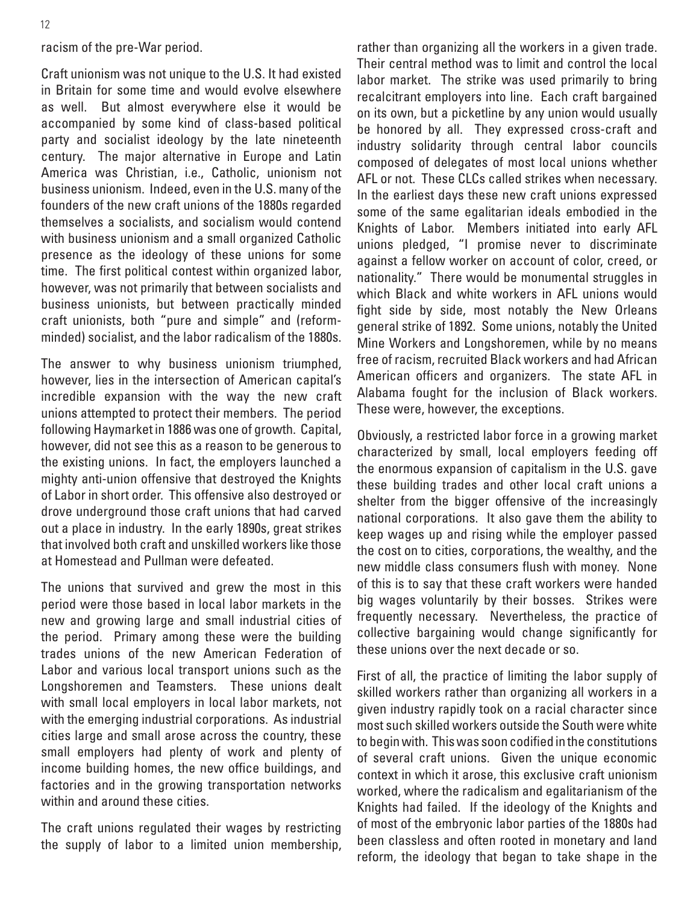#### racism of the pre-War period.

Craft unionism was not unique to the U.S. It had existed in Britain for some time and would evolve elsewhere as well. But almost everywhere else it would be accompanied by some kind of class-based political party and socialist ideology by the late nineteenth century. The major alternative in Europe and Latin America was Christian, i.e., Catholic, unionism not business unionism. Indeed, even in the U.S. many of the founders of the new craft unions of the 1880s regarded themselves a socialists, and socialism would contend with business unionism and a small organized Catholic presence as the ideology of these unions for some time. The first political contest within organized labor, however, was not primarily that between socialists and business unionists, but between practically minded craft unionists, both "pure and simple" and (reformminded) socialist, and the labor radicalism of the 1880s.

The answer to why business unionism triumphed, however, lies in the intersection of American capital's incredible expansion with the way the new craft unions attempted to protect their members. The period following Haymarket in 1886 was one of growth. Capital, however, did not see this as a reason to be generous to the existing unions. In fact, the employers launched a mighty anti-union offensive that destroyed the Knights of Labor in short order. This offensive also destroyed or drove underground those craft unions that had carved out a place in industry. In the early 1890s, great strikes that involved both craft and unskilled workers like those at Homestead and Pullman were defeated.

The unions that survived and grew the most in this period were those based in local labor markets in the new and growing large and small industrial cities of the period. Primary among these were the building trades unions of the new American Federation of Labor and various local transport unions such as the Longshoremen and Teamsters. These unions dealt with small local employers in local labor markets, not with the emerging industrial corporations. As industrial cities large and small arose across the country, these small employers had plenty of work and plenty of income building homes, the new office buildings, and factories and in the growing transportation networks within and around these cities.

The craft unions regulated their wages by restricting the supply of labor to a limited union membership, rather than organizing all the workers in a given trade. Their central method was to limit and control the local labor market. The strike was used primarily to bring recalcitrant employers into line. Each craft bargained on its own, but a picketline by any union would usually be honored by all. They expressed cross-craft and industry solidarity through central labor councils composed of delegates of most local unions whether AFL or not. These CLCs called strikes when necessary. In the earliest days these new craft unions expressed some of the same egalitarian ideals embodied in the Knights of Labor. Members initiated into early AFL unions pledged, "I promise never to discriminate against a fellow worker on account of color, creed, or nationality." There would be monumental struggles in which Black and white workers in AFL unions would fight side by side, most notably the New Orleans general strike of 1892. Some unions, notably the United Mine Workers and Longshoremen, while by no means free of racism, recruited Black workers and had African American officers and organizers. The state AFL in Alabama fought for the inclusion of Black workers. These were, however, the exceptions.

Obviously, a restricted labor force in a growing market characterized by small, local employers feeding off the enormous expansion of capitalism in the U.S. gave these building trades and other local craft unions a shelter from the bigger offensive of the increasingly national corporations. It also gave them the ability to keep wages up and rising while the employer passed the cost on to cities, corporations, the wealthy, and the new middle class consumers flush with money. None of this is to say that these craft workers were handed big wages voluntarily by their bosses. Strikes were frequently necessary. Nevertheless, the practice of collective bargaining would change significantly for these unions over the next decade or so.

First of all, the practice of limiting the labor supply of skilled workers rather than organizing all workers in a given industry rapidly took on a racial character since most such skilled workers outside the South were white to begin with. This was soon codified in the constitutions of several craft unions. Given the unique economic context in which it arose, this exclusive craft unionism worked, where the radicalism and egalitarianism of the Knights had failed. If the ideology of the Knights and of most of the embryonic labor parties of the 1880s had been classless and often rooted in monetary and land reform, the ideology that began to take shape in the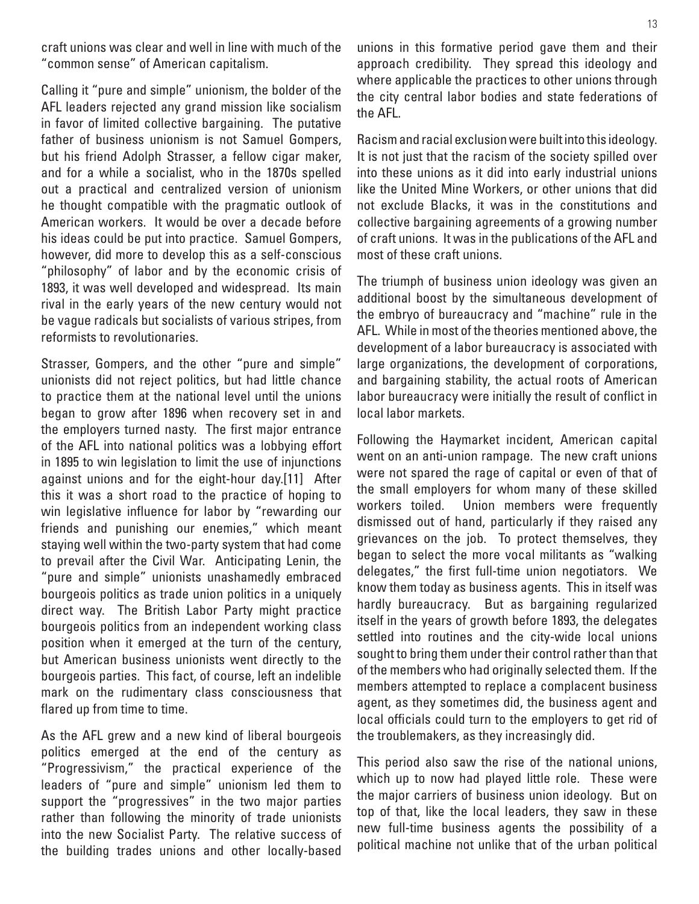craft unions was clear and well in line with much of the "common sense" of American capitalism.

Calling it "pure and simple" unionism, the bolder of the AFL leaders rejected any grand mission like socialism in favor of limited collective bargaining. The putative father of business unionism is not Samuel Gompers, but his friend Adolph Strasser, a fellow cigar maker, and for a while a socialist, who in the 1870s spelled out a practical and centralized version of unionism he thought compatible with the pragmatic outlook of American workers. It would be over a decade before his ideas could be put into practice. Samuel Gompers, however, did more to develop this as a self-conscious "philosophy" of labor and by the economic crisis of 1893, it was well developed and widespread. Its main rival in the early years of the new century would not be vague radicals but socialists of various stripes, from reformists to revolutionaries.

Strasser, Gompers, and the other "pure and simple" unionists did not reject politics, but had little chance to practice them at the national level until the unions began to grow after 1896 when recovery set in and the employers turned nasty. The first major entrance of the AFL into national politics was a lobbying effort in 1895 to win legislation to limit the use of injunctions against unions and for the eight-hour day.[11] After this it was a short road to the practice of hoping to win legislative influence for labor by "rewarding our friends and punishing our enemies," which meant staying well within the two-party system that had come to prevail after the Civil War. Anticipating Lenin, the "pure and simple" unionists unashamedly embraced bourgeois politics as trade union politics in a uniquely direct way. The British Labor Party might practice bourgeois politics from an independent working class position when it emerged at the turn of the century, but American business unionists went directly to the bourgeois parties. This fact, of course, left an indelible mark on the rudimentary class consciousness that flared up from time to time.

As the AFL grew and a new kind of liberal bourgeois politics emerged at the end of the century as "Progressivism," the practical experience of the leaders of "pure and simple" unionism led them to support the "progressives" in the two major parties rather than following the minority of trade unionists into the new Socialist Party. The relative success of the building trades unions and other locally-based unions in this formative period gave them and their approach credibility. They spread this ideology and where applicable the practices to other unions through the city central labor bodies and state federations of the AFL.

Racism and racial exclusion were built into this ideology. It is not just that the racism of the society spilled over into these unions as it did into early industrial unions like the United Mine Workers, or other unions that did not exclude Blacks, it was in the constitutions and collective bargaining agreements of a growing number of craft unions. It was in the publications of the AFL and most of these craft unions.

The triumph of business union ideology was given an additional boost by the simultaneous development of the embryo of bureaucracy and "machine" rule in the AFL. While in most of the theories mentioned above, the development of a labor bureaucracy is associated with large organizations, the development of corporations, and bargaining stability, the actual roots of American labor bureaucracy were initially the result of conflict in local labor markets.

Following the Haymarket incident, American capital went on an anti-union rampage. The new craft unions were not spared the rage of capital or even of that of the small employers for whom many of these skilled workers toiled. Union members were frequently dismissed out of hand, particularly if they raised any grievances on the job. To protect themselves, they began to select the more vocal militants as "walking delegates," the first full-time union negotiators. We know them today as business agents. This in itself was hardly bureaucracy. But as bargaining regularized itself in the years of growth before 1893, the delegates settled into routines and the city-wide local unions sought to bring them under their control rather than that of the members who had originally selected them. If the members attempted to replace a complacent business agent, as they sometimes did, the business agent and local officials could turn to the employers to get rid of the troublemakers, as they increasingly did.

This period also saw the rise of the national unions, which up to now had played little role. These were the major carriers of business union ideology. But on top of that, like the local leaders, they saw in these new full-time business agents the possibility of a political machine not unlike that of the urban political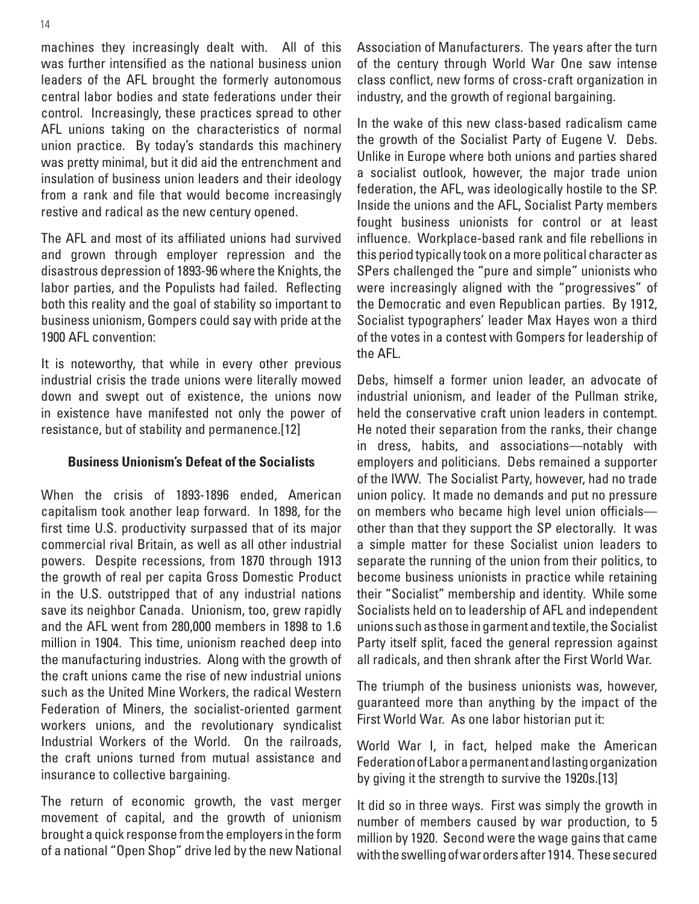machines they increasingly dealt with. All of this was further intensified as the national business union leaders of the AFL brought the formerly autonomous central labor bodies and state federations under their control. Increasingly, these practices spread to other AFL unions taking on the characteristics of normal union practice. By today's standards this machinery was pretty minimal, but it did aid the entrenchment and insulation of business union leaders and their ideology from a rank and file that would become increasingly restive and radical as the new century opened.

The AFL and most of its affiliated unions had survived and grown through employer repression and the disastrous depression of 1893-96 where the Knights, the labor parties, and the Populists had failed. Reflecting both this reality and the goal of stability so important to business unionism, Gompers could say with pride at the 1900 AFL convention:

It is noteworthy, that while in every other previous industrial crisis the trade unions were literally mowed down and swept out of existence, the unions now in existence have manifested not only the power of resistance, but of stability and permanence.[12]

#### **Business Unionism's Defeat of the Socialists**

When the crisis of 1893-1896 ended, American capitalism took another leap forward. In 1898, for the first time U.S. productivity surpassed that of its major commercial rival Britain, as well as all other industrial powers. Despite recessions, from 1870 through 1913 the growth of real per capita Gross Domestic Product in the U.S. outstripped that of any industrial nations save its neighbor Canada. Unionism, too, grew rapidly and the AFL went from 280,000 members in 1898 to 1.6 million in 1904. This time, unionism reached deep into the manufacturing industries. Along with the growth of the craft unions came the rise of new industrial unions such as the United Mine Workers, the radical Western Federation of Miners, the socialist-oriented garment workers unions, and the revolutionary syndicalist Industrial Workers of the World. On the railroads, the craft unions turned from mutual assistance and insurance to collective bargaining.

The return of economic growth, the vast merger movement of capital, and the growth of unionism brought a quick response from the employers in the form of a national "Open Shop" drive led by the new National Association of Manufacturers. The years after the turn of the century through World War One saw intense class conflict, new forms of cross-craft organization in industry, and the growth of regional bargaining.

In the wake of this new class-based radicalism came the growth of the Socialist Party of Eugene V. Debs. Unlike in Europe where both unions and parties shared a socialist outlook, however, the major trade union federation, the AFL, was ideologically hostile to the SP. Inside the unions and the AFL, Socialist Party members fought business unionists for control or at least influence. Workplace-based rank and file rebellions in this period typically took on a more political character as SPers challenged the "pure and simple" unionists who were increasingly aligned with the "progressives" of the Democratic and even Republican parties. By 1912, Socialist typographers' leader Max Hayes won a third of the votes in a contest with Gompers for leadership of the AFL.

Debs, himself a former union leader, an advocate of industrial unionism, and leader of the Pullman strike, held the conservative craft union leaders in contempt. He noted their separation from the ranks, their change in dress, habits, and associations—notably with employers and politicians. Debs remained a supporter of the IWW. The Socialist Party, however, had no trade union policy. It made no demands and put no pressure on members who became high level union officials other than that they support the SP electorally. It was a simple matter for these Socialist union leaders to separate the running of the union from their politics, to become business unionists in practice while retaining their "Socialist" membership and identity. While some Socialists held on to leadership of AFL and independent unions such as those in garment and textile, the Socialist Party itself split, faced the general repression against all radicals, and then shrank after the First World War.

The triumph of the business unionists was, however, guaranteed more than anything by the impact of the First World War. As one labor historian put it:

World War I, in fact, helped make the American Federation of Labor a permanent and lasting organization by giving it the strength to survive the 1920s.[13]

It did so in three ways. First was simply the growth in number of members caused by war production, to 5 million by 1920. Second were the wage gains that came with the swelling of war orders after 1914. These secured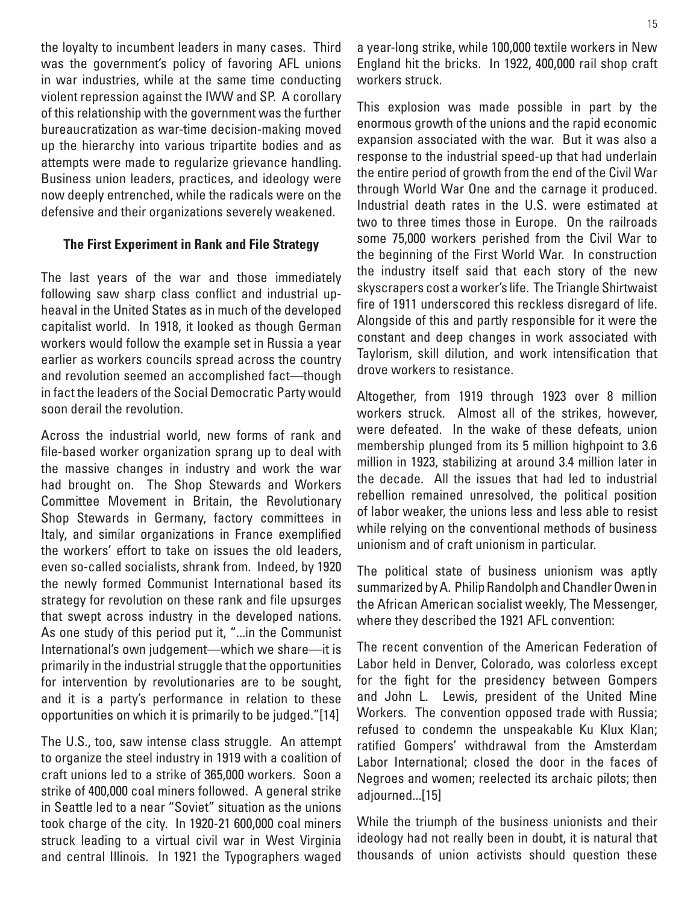the loyalty to incumbent leaders in many cases. Third was the government's policy of favoring AFL unions in war industries, while at the same time conducting violent repression against the IWW and SP. A corollary of this relationship with the government was the further bureaucratization as war-time decision-making moved up the hierarchy into various tripartite bodies and as attempts were made to regularize grievance handling. Business union leaders, practices, and ideology were now deeply entrenched, while the radicals were on the defensive and their organizations severely weakened.

#### **The First Experiment in Rank and File Strategy**

The last years of the war and those immediately following saw sharp class conflict and industrial upheaval in the United States as in much of the developed capitalist world. In 1918, it looked as though German workers would follow the example set in Russia a year earlier as workers councils spread across the country and revolution seemed an accomplished fact—though in fact the leaders of the Social Democratic Party would soon derail the revolution.

Across the industrial world, new forms of rank and file-based worker organization sprang up to deal with the massive changes in industry and work the war had brought on. The Shop Stewards and Workers Committee Movement in Britain, the Revolutionary Shop Stewards in Germany, factory committees in Italy, and similar organizations in France exemplified the workers' effort to take on issues the old leaders, even so-called socialists, shrank from. Indeed, by 1920 the newly formed Communist International based its strategy for revolution on these rank and file upsurges that swept across industry in the developed nations. As one study of this period put it, "...in the Communist International's own judgement—which we share—it is primarily in the industrial struggle that the opportunities for intervention by revolutionaries are to be sought, and it is a party's performance in relation to these opportunities on which it is primarily to be judged."[14]

The U.S., too, saw intense class struggle. An attempt to organize the steel industry in 1919 with a coalition of craft unions led to a strike of 365,000 workers. Soon a strike of 400,000 coal miners followed. A general strike in Seattle led to a near "Soviet" situation as the unions took charge of the city. In 1920-21 600,000 coal miners struck leading to a virtual civil war in West Virginia and central Illinois. In 1921 the Typographers waged a year-long strike, while 100,000 textile workers in New England hit the bricks. In 1922, 400,000 rail shop craft workers struck.

This explosion was made possible in part by the enormous growth of the unions and the rapid economic expansion associated with the war. But it was also a response to the industrial speed-up that had underlain the entire period of growth from the end of the Civil War through World War One and the carnage it produced. Industrial death rates in the U.S. were estimated at two to three times those in Europe. On the railroads some 75,000 workers perished from the Civil War to the beginning of the First World War. In construction the industry itself said that each story of the new skyscrapers cost a worker's life. The Triangle Shirtwaist fire of 1911 underscored this reckless disregard of life. Alongside of this and partly responsible for it were the constant and deep changes in work associated with Taylorism, skill dilution, and work intensification that drove workers to resistance.

Altogether, from 1919 through 1923 over 8 million workers struck. Almost all of the strikes, however, were defeated. In the wake of these defeats, union membership plunged from its 5 million highpoint to 3.6 million in 1923, stabilizing at around 3.4 million later in the decade. All the issues that had led to industrial rebellion remained unresolved, the political position of labor weaker, the unions less and less able to resist while relying on the conventional methods of business unionism and of craft unionism in particular.

The political state of business unionism was aptly summarized by A. Philip Randolph and Chandler Owen in the African American socialist weekly, The Messenger, where they described the 1921 AFL convention:

The recent convention of the American Federation of Labor held in Denver, Colorado, was colorless except for the fight for the presidency between Gompers and John L. Lewis, president of the United Mine Workers. The convention opposed trade with Russia; refused to condemn the unspeakable Ku Klux Klan; ratified Gompers' withdrawal from the Amsterdam Labor International; closed the door in the faces of Negroes and women; reelected its archaic pilots; then adjourned...[15]

While the triumph of the business unionists and their ideology had not really been in doubt, it is natural that thousands of union activists should question these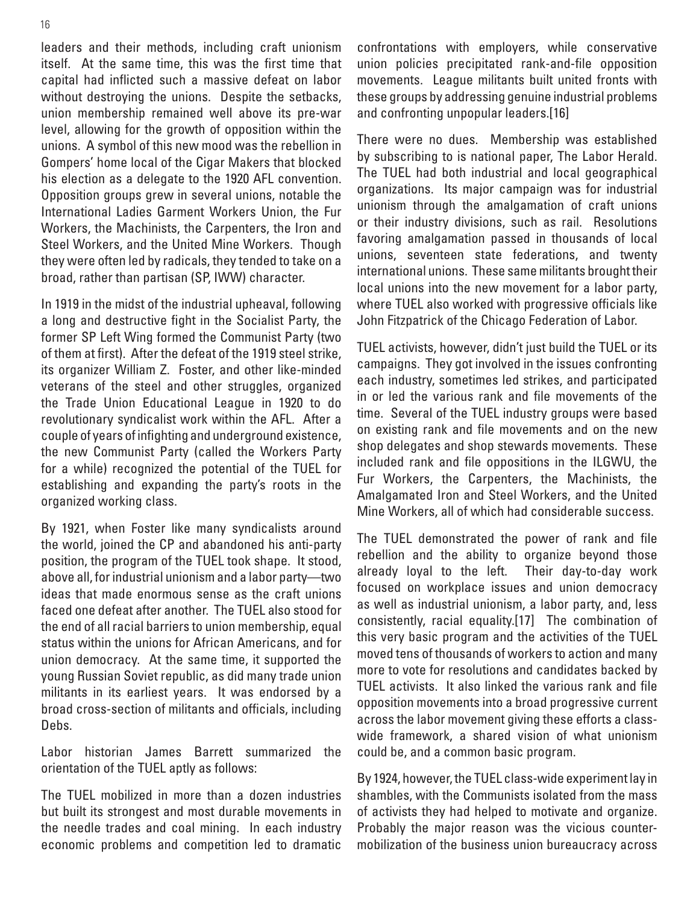leaders and their methods, including craft unionism itself. At the same time, this was the first time that capital had inflicted such a massive defeat on labor without destroying the unions. Despite the setbacks, union membership remained well above its pre-war level, allowing for the growth of opposition within the unions. A symbol of this new mood was the rebellion in Gompers' home local of the Cigar Makers that blocked his election as a delegate to the 1920 AFL convention. Opposition groups grew in several unions, notable the International Ladies Garment Workers Union, the Fur Workers, the Machinists, the Carpenters, the Iron and Steel Workers, and the United Mine Workers. Though they were often led by radicals, they tended to take on a broad, rather than partisan (SP, IWW) character.

In 1919 in the midst of the industrial upheaval, following a long and destructive fight in the Socialist Party, the former SP Left Wing formed the Communist Party (two of them at first). After the defeat of the 1919 steel strike, its organizer William Z. Foster, and other like-minded veterans of the steel and other struggles, organized the Trade Union Educational League in 1920 to do revolutionary syndicalist work within the AFL. After a couple of years of infighting and underground existence, the new Communist Party (called the Workers Party for a while) recognized the potential of the TUEL for establishing and expanding the party's roots in the organized working class.

By 1921, when Foster like many syndicalists around the world, joined the CP and abandoned his anti-party position, the program of the TUEL took shape. It stood, above all, for industrial unionism and a labor party—two ideas that made enormous sense as the craft unions faced one defeat after another. The TUEL also stood for the end of all racial barriers to union membership, equal status within the unions for African Americans, and for union democracy. At the same time, it supported the young Russian Soviet republic, as did many trade union militants in its earliest years. It was endorsed by a broad cross-section of militants and officials, including Debs.

Labor historian James Barrett summarized the orientation of the TUEL aptly as follows:

The TUEL mobilized in more than a dozen industries but built its strongest and most durable movements in the needle trades and coal mining. In each industry economic problems and competition led to dramatic confrontations with employers, while conservative union policies precipitated rank-and-file opposition movements. League militants built united fronts with these groups by addressing genuine industrial problems and confronting unpopular leaders.[16]

There were no dues. Membership was established by subscribing to is national paper, The Labor Herald. The TUEL had both industrial and local geographical organizations. Its major campaign was for industrial unionism through the amalgamation of craft unions or their industry divisions, such as rail. Resolutions favoring amalgamation passed in thousands of local unions, seventeen state federations, and twenty international unions. These same militants brought their local unions into the new movement for a labor party, where TUEL also worked with progressive officials like John Fitzpatrick of the Chicago Federation of Labor.

TUEL activists, however, didn't just build the TUEL or its campaigns. They got involved in the issues confronting each industry, sometimes led strikes, and participated in or led the various rank and file movements of the time. Several of the TUEL industry groups were based on existing rank and file movements and on the new shop delegates and shop stewards movements. These included rank and file oppositions in the ILGWU, the Fur Workers, the Carpenters, the Machinists, the Amalgamated Iron and Steel Workers, and the United Mine Workers, all of which had considerable success.

The TUEL demonstrated the power of rank and file rebellion and the ability to organize beyond those already loyal to the left. Their day-to-day work focused on workplace issues and union democracy as well as industrial unionism, a labor party, and, less consistently, racial equality.[17] The combination of this very basic program and the activities of the TUEL moved tens of thousands of workers to action and many more to vote for resolutions and candidates backed by TUEL activists. It also linked the various rank and file opposition movements into a broad progressive current across the labor movement giving these efforts a classwide framework, a shared vision of what unionism could be, and a common basic program.

By 1924, however, the TUEL class-wide experiment lay in shambles, with the Communists isolated from the mass of activists they had helped to motivate and organize. Probably the major reason was the vicious countermobilization of the business union bureaucracy across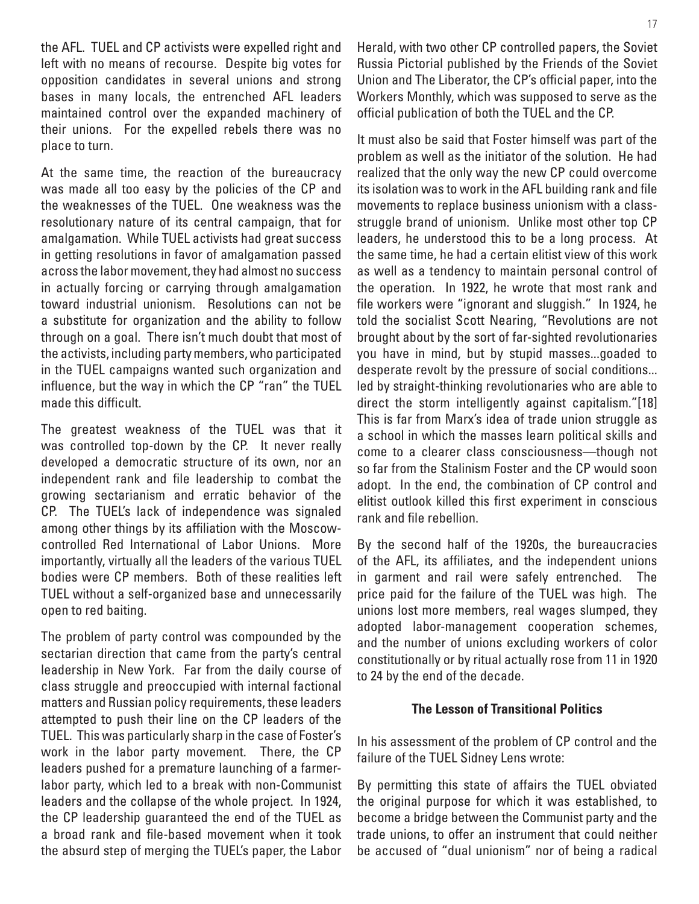the AFL. TUEL and CP activists were expelled right and left with no means of recourse. Despite big votes for opposition candidates in several unions and strong bases in many locals, the entrenched AFL leaders maintained control over the expanded machinery of their unions. For the expelled rebels there was no place to turn.

At the same time, the reaction of the bureaucracy was made all too easy by the policies of the CP and the weaknesses of the TUEL. One weakness was the resolutionary nature of its central campaign, that for amalgamation. While TUEL activists had great success in getting resolutions in favor of amalgamation passed across the labor movement, they had almost no success in actually forcing or carrying through amalgamation toward industrial unionism. Resolutions can not be a substitute for organization and the ability to follow through on a goal. There isn't much doubt that most of the activists, including party members, who participated in the TUEL campaigns wanted such organization and influence, but the way in which the CP "ran" the TUEL made this difficult.

The greatest weakness of the TUEL was that it was controlled top-down by the CP. It never really developed a democratic structure of its own, nor an independent rank and file leadership to combat the growing sectarianism and erratic behavior of the CP. The TUEL's lack of independence was signaled among other things by its affiliation with the Moscowcontrolled Red International of Labor Unions. More importantly, virtually all the leaders of the various TUEL bodies were CP members. Both of these realities left TUEL without a self-organized base and unnecessarily open to red baiting.

The problem of party control was compounded by the sectarian direction that came from the party's central leadership in New York. Far from the daily course of class struggle and preoccupied with internal factional matters and Russian policy requirements, these leaders attempted to push their line on the CP leaders of the TUEL. This was particularly sharp in the case of Foster's work in the labor party movement. There, the CP leaders pushed for a premature launching of a farmerlabor party, which led to a break with non-Communist leaders and the collapse of the whole project. In 1924, the CP leadership guaranteed the end of the TUEL as a broad rank and file-based movement when it took the absurd step of merging the TUEL's paper, the Labor

Herald, with two other CP controlled papers, the Soviet Russia Pictorial published by the Friends of the Soviet Union and The Liberator, the CP's official paper, into the Workers Monthly, which was supposed to serve as the official publication of both the TUEL and the CP.

It must also be said that Foster himself was part of the problem as well as the initiator of the solution. He had realized that the only way the new CP could overcome its isolation was to work in the AFL building rank and file movements to replace business unionism with a classstruggle brand of unionism. Unlike most other top CP leaders, he understood this to be a long process. At the same time, he had a certain elitist view of this work as well as a tendency to maintain personal control of the operation. In 1922, he wrote that most rank and file workers were "ignorant and sluggish." In 1924, he told the socialist Scott Nearing, "Revolutions are not brought about by the sort of far-sighted revolutionaries you have in mind, but by stupid masses...goaded to desperate revolt by the pressure of social conditions... led by straight-thinking revolutionaries who are able to direct the storm intelligently against capitalism."[18] This is far from Marx's idea of trade union struggle as a school in which the masses learn political skills and come to a clearer class consciousness—though not so far from the Stalinism Foster and the CP would soon adopt. In the end, the combination of CP control and elitist outlook killed this first experiment in conscious rank and file rebellion.

By the second half of the 1920s, the bureaucracies of the AFL, its affiliates, and the independent unions in garment and rail were safely entrenched. The price paid for the failure of the TUEL was high. The unions lost more members, real wages slumped, they adopted labor-management cooperation schemes, and the number of unions excluding workers of color constitutionally or by ritual actually rose from 11 in 1920 to 24 by the end of the decade.

#### **The Lesson of Transitional Politics**

In his assessment of the problem of CP control and the failure of the TUEL Sidney Lens wrote:

By permitting this state of affairs the TUEL obviated the original purpose for which it was established, to become a bridge between the Communist party and the trade unions, to offer an instrument that could neither be accused of "dual unionism" nor of being a radical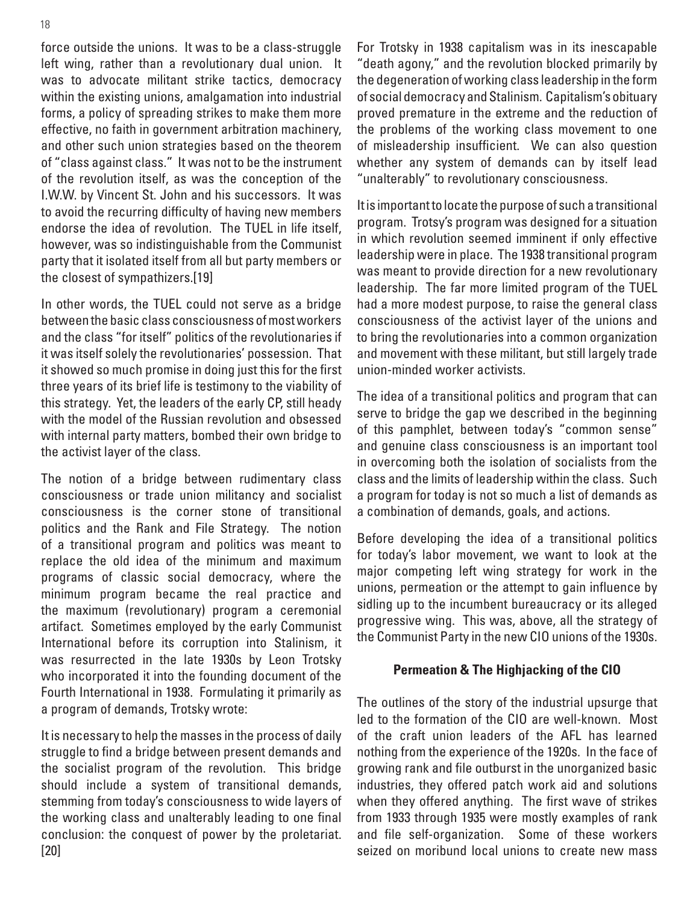force outside the unions. It was to be a class-struggle left wing, rather than a revolutionary dual union. It was to advocate militant strike tactics, democracy within the existing unions, amalgamation into industrial forms, a policy of spreading strikes to make them more effective, no faith in government arbitration machinery, and other such union strategies based on the theorem of "class against class." It was not to be the instrument of the revolution itself, as was the conception of the I.W.W. by Vincent St. John and his successors. It was to avoid the recurring difficulty of having new members endorse the idea of revolution. The TUEL in life itself, however, was so indistinguishable from the Communist party that it isolated itself from all but party members or the closest of sympathizers.[19]

In other words, the TUEL could not serve as a bridge between the basic class consciousness of most workers and the class "for itself" politics of the revolutionaries if it was itself solely the revolutionaries' possession. That it showed so much promise in doing just this for the first three years of its brief life is testimony to the viability of this strategy. Yet, the leaders of the early CP, still heady with the model of the Russian revolution and obsessed with internal party matters, bombed their own bridge to the activist layer of the class.

The notion of a bridge between rudimentary class consciousness or trade union militancy and socialist consciousness is the corner stone of transitional politics and the Rank and File Strategy. The notion of a transitional program and politics was meant to replace the old idea of the minimum and maximum programs of classic social democracy, where the minimum program became the real practice and the maximum (revolutionary) program a ceremonial artifact. Sometimes employed by the early Communist International before its corruption into Stalinism, it was resurrected in the late 1930s by Leon Trotsky who incorporated it into the founding document of the Fourth International in 1938. Formulating it primarily as a program of demands, Trotsky wrote:

It is necessary to help the masses in the process of daily struggle to find a bridge between present demands and the socialist program of the revolution. This bridge should include a system of transitional demands, stemming from today's consciousness to wide layers of the working class and unalterably leading to one final conclusion: the conquest of power by the proletariat. [20]

For Trotsky in 1938 capitalism was in its inescapable "death agony," and the revolution blocked primarily by the degeneration of working class leadership in the form of social democracy and Stalinism. Capitalism's obituary proved premature in the extreme and the reduction of the problems of the working class movement to one of misleadership insufficient. We can also question whether any system of demands can by itself lead "unalterably" to revolutionary consciousness.

It is important to locate the purpose of such a transitional program. Trotsy's program was designed for a situation in which revolution seemed imminent if only effective leadership were in place. The 1938 transitional program was meant to provide direction for a new revolutionary leadership. The far more limited program of the TUEL had a more modest purpose, to raise the general class consciousness of the activist layer of the unions and to bring the revolutionaries into a common organization and movement with these militant, but still largely trade union-minded worker activists.

The idea of a transitional politics and program that can serve to bridge the gap we described in the beginning of this pamphlet, between today's "common sense" and genuine class consciousness is an important tool in overcoming both the isolation of socialists from the class and the limits of leadership within the class. Such a program for today is not so much a list of demands as a combination of demands, goals, and actions.

Before developing the idea of a transitional politics for today's labor movement, we want to look at the major competing left wing strategy for work in the unions, permeation or the attempt to gain influence by sidling up to the incumbent bureaucracy or its alleged progressive wing. This was, above, all the strategy of the Communist Party in the new CIO unions of the 1930s.

#### **Permeation & The Highjacking of the CIO**

The outlines of the story of the industrial upsurge that led to the formation of the CIO are well-known. Most of the craft union leaders of the AFL has learned nothing from the experience of the 1920s. In the face of growing rank and file outburst in the unorganized basic industries, they offered patch work aid and solutions when they offered anything. The first wave of strikes from 1933 through 1935 were mostly examples of rank and file self-organization. Some of these workers seized on moribund local unions to create new mass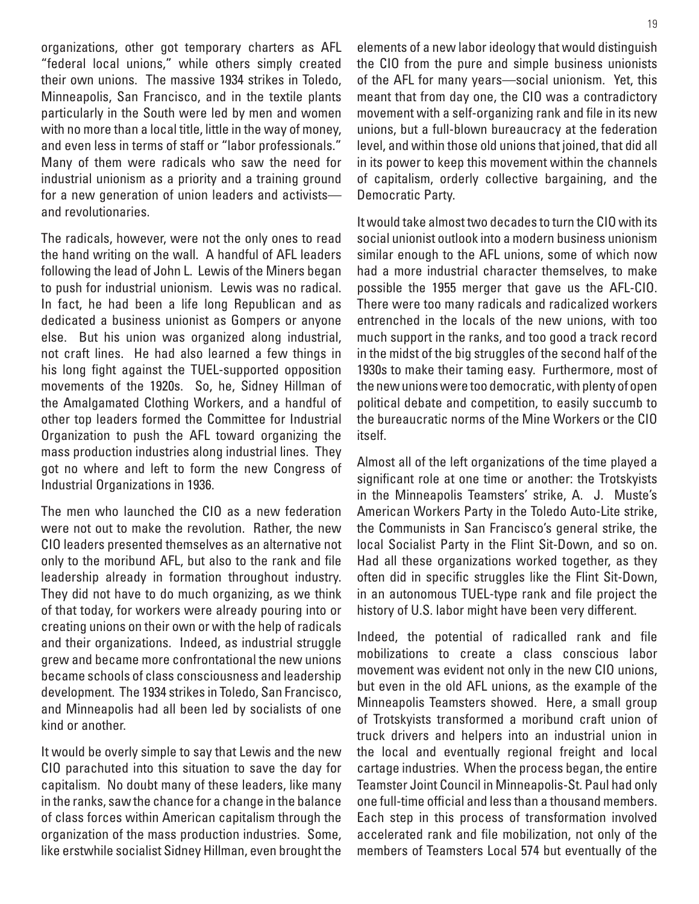organizations, other got temporary charters as AFL "federal local unions," while others simply created their own unions. The massive 1934 strikes in Toledo, Minneapolis, San Francisco, and in the textile plants particularly in the South were led by men and women with no more than a local title, little in the way of money, and even less in terms of staff or "labor professionals." Many of them were radicals who saw the need for industrial unionism as a priority and a training ground for a new generation of union leaders and activists and revolutionaries.

The radicals, however, were not the only ones to read the hand writing on the wall. A handful of AFL leaders following the lead of John L. Lewis of the Miners began to push for industrial unionism. Lewis was no radical. In fact, he had been a life long Republican and as dedicated a business unionist as Gompers or anyone else. But his union was organized along industrial, not craft lines. He had also learned a few things in his long fight against the TUEL-supported opposition movements of the 1920s. So, he, Sidney Hillman of the Amalgamated Clothing Workers, and a handful of other top leaders formed the Committee for Industrial Organization to push the AFL toward organizing the mass production industries along industrial lines. They got no where and left to form the new Congress of Industrial Organizations in 1936.

The men who launched the CIO as a new federation were not out to make the revolution. Rather, the new CIO leaders presented themselves as an alternative not only to the moribund AFL, but also to the rank and file leadership already in formation throughout industry. They did not have to do much organizing, as we think of that today, for workers were already pouring into or creating unions on their own or with the help of radicals and their organizations. Indeed, as industrial struggle grew and became more confrontational the new unions became schools of class consciousness and leadership development. The 1934 strikes in Toledo, San Francisco, and Minneapolis had all been led by socialists of one kind or another.

It would be overly simple to say that Lewis and the new CIO parachuted into this situation to save the day for capitalism. No doubt many of these leaders, like many in the ranks, saw the chance for a change in the balance of class forces within American capitalism through the organization of the mass production industries. Some, like erstwhile socialist Sidney Hillman, even brought the elements of a new labor ideology that would distinguish the CIO from the pure and simple business unionists of the AFL for many years—social unionism. Yet, this meant that from day one, the CIO was a contradictory movement with a self-organizing rank and file in its new unions, but a full-blown bureaucracy at the federation level, and within those old unions that joined, that did all in its power to keep this movement within the channels of capitalism, orderly collective bargaining, and the Democratic Party.

It would take almost two decades to turn the CIO with its social unionist outlook into a modern business unionism similar enough to the AFL unions, some of which now had a more industrial character themselves, to make possible the 1955 merger that gave us the AFL-CIO. There were too many radicals and radicalized workers entrenched in the locals of the new unions, with too much support in the ranks, and too good a track record in the midst of the big struggles of the second half of the 1930s to make their taming easy. Furthermore, most of the new unions were too democratic, with plenty of open political debate and competition, to easily succumb to the bureaucratic norms of the Mine Workers or the CIO itself.

Almost all of the left organizations of the time played a significant role at one time or another: the Trotskyists in the Minneapolis Teamsters' strike, A. J. Muste's American Workers Party in the Toledo Auto-Lite strike, the Communists in San Francisco's general strike, the local Socialist Party in the Flint Sit-Down, and so on. Had all these organizations worked together, as they often did in specific struggles like the Flint Sit-Down, in an autonomous TUEL-type rank and file project the history of U.S. labor might have been very different.

Indeed, the potential of radicalled rank and file mobilizations to create a class conscious labor movement was evident not only in the new CIO unions, but even in the old AFL unions, as the example of the Minneapolis Teamsters showed. Here, a small group of Trotskyists transformed a moribund craft union of truck drivers and helpers into an industrial union in the local and eventually regional freight and local cartage industries. When the process began, the entire Teamster Joint Council in Minneapolis-St. Paul had only one full-time official and less than a thousand members. Each step in this process of transformation involved accelerated rank and file mobilization, not only of the members of Teamsters Local 574 but eventually of the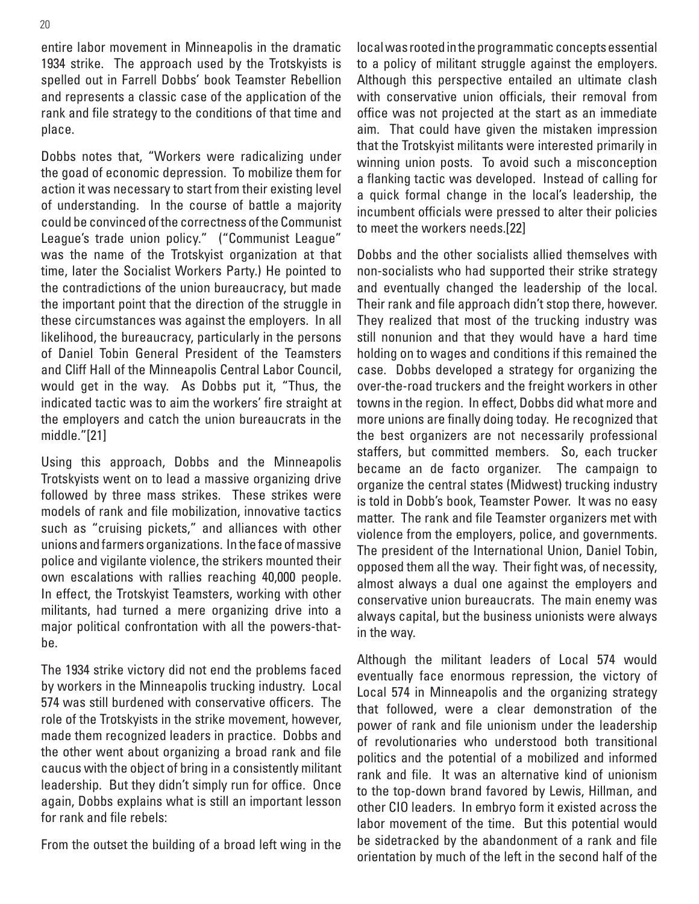entire labor movement in Minneapolis in the dramatic 1934 strike. The approach used by the Trotskyists is spelled out in Farrell Dobbs' book Teamster Rebellion and represents a classic case of the application of the rank and file strategy to the conditions of that time and place.

Dobbs notes that, "Workers were radicalizing under the goad of economic depression. To mobilize them for action it was necessary to start from their existing level of understanding. In the course of battle a majority could be convinced of the correctness of the Communist League's trade union policy." ("Communist League" was the name of the Trotskyist organization at that time, later the Socialist Workers Party.) He pointed to the contradictions of the union bureaucracy, but made the important point that the direction of the struggle in these circumstances was against the employers. In all likelihood, the bureaucracy, particularly in the persons of Daniel Tobin General President of the Teamsters and Cliff Hall of the Minneapolis Central Labor Council, would get in the way. As Dobbs put it, "Thus, the indicated tactic was to aim the workers' fire straight at the employers and catch the union bureaucrats in the middle."[21]

Using this approach, Dobbs and the Minneapolis Trotskyists went on to lead a massive organizing drive followed by three mass strikes. These strikes were models of rank and file mobilization, innovative tactics such as "cruising pickets," and alliances with other unions and farmers organizations. In the face of massive police and vigilante violence, the strikers mounted their own escalations with rallies reaching 40,000 people. In effect, the Trotskyist Teamsters, working with other militants, had turned a mere organizing drive into a major political confrontation with all the powers-thatbe.

The 1934 strike victory did not end the problems faced by workers in the Minneapolis trucking industry. Local 574 was still burdened with conservative officers. The role of the Trotskyists in the strike movement, however, made them recognized leaders in practice. Dobbs and the other went about organizing a broad rank and file caucus with the object of bring in a consistently militant leadership. But they didn't simply run for office. Once again, Dobbs explains what is still an important lesson for rank and file rebels:

From the outset the building of a broad left wing in the

local was rooted in the programmatic concepts essential to a policy of militant struggle against the employers. Although this perspective entailed an ultimate clash with conservative union officials, their removal from office was not projected at the start as an immediate aim. That could have given the mistaken impression that the Trotskyist militants were interested primarily in winning union posts. To avoid such a misconception a flanking tactic was developed. Instead of calling for a quick formal change in the local's leadership, the incumbent officials were pressed to alter their policies to meet the workers needs.[22]

Dobbs and the other socialists allied themselves with non-socialists who had supported their strike strategy and eventually changed the leadership of the local. Their rank and file approach didn't stop there, however. They realized that most of the trucking industry was still nonunion and that they would have a hard time holding on to wages and conditions if this remained the case. Dobbs developed a strategy for organizing the over-the-road truckers and the freight workers in other towns in the region. In effect, Dobbs did what more and more unions are finally doing today. He recognized that the best organizers are not necessarily professional staffers, but committed members. So, each trucker became an de facto organizer. The campaign to organize the central states (Midwest) trucking industry is told in Dobb's book, Teamster Power. It was no easy matter. The rank and file Teamster organizers met with violence from the employers, police, and governments. The president of the International Union, Daniel Tobin, opposed them all the way. Their fight was, of necessity, almost always a dual one against the employers and conservative union bureaucrats. The main enemy was always capital, but the business unionists were always in the way.

Although the militant leaders of Local 574 would eventually face enormous repression, the victory of Local 574 in Minneapolis and the organizing strategy that followed, were a clear demonstration of the power of rank and file unionism under the leadership of revolutionaries who understood both transitional politics and the potential of a mobilized and informed rank and file. It was an alternative kind of unionism to the top-down brand favored by Lewis, Hillman, and other CIO leaders. In embryo form it existed across the labor movement of the time. But this potential would be sidetracked by the abandonment of a rank and file orientation by much of the left in the second half of the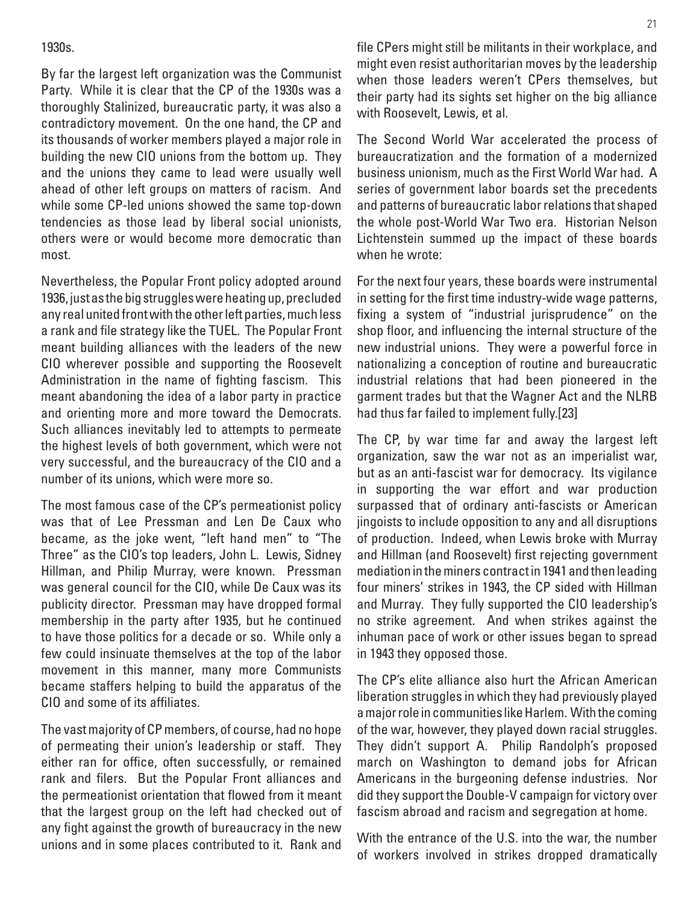#### 1930s.

By far the largest left organization was the Communist Party. While it is clear that the CP of the 1930s was a thoroughly Stalinized, bureaucratic party, it was also a contradictory movement. On the one hand, the CP and its thousands of worker members played a major role in building the new CIO unions from the bottom up. They and the unions they came to lead were usually well ahead of other left groups on matters of racism. And while some CP-led unions showed the same top-down tendencies as those lead by liberal social unionists, others were or would become more democratic than most.

Nevertheless, the Popular Front policy adopted around 1936, just as the big struggles were heating up, precluded any real united front with the other left parties, much less a rank and file strategy like the TUEL. The Popular Front meant building alliances with the leaders of the new CIO wherever possible and supporting the Roosevelt Administration in the name of fighting fascism. This meant abandoning the idea of a labor party in practice and orienting more and more toward the Democrats. Such alliances inevitably led to attempts to permeate the highest levels of both government, which were not very successful, and the bureaucracy of the CIO and a number of its unions, which were more so.

The most famous case of the CP's permeationist policy was that of Lee Pressman and Len De Caux who became, as the joke went, "left hand men" to "The Three" as the CIO's top leaders, John L. Lewis, Sidney Hillman, and Philip Murray, were known. Pressman was general council for the CIO, while De Caux was its publicity director. Pressman may have dropped formal membership in the party after 1935, but he continued to have those politics for a decade or so. While only a few could insinuate themselves at the top of the labor movement in this manner, many more Communists became staffers helping to build the apparatus of the CIO and some of its affiliates.

The vast majority of CP members, of course, had no hope of permeating their union's leadership or staff. They either ran for office, often successfully, or remained rank and filers. But the Popular Front alliances and the permeationist orientation that flowed from it meant that the largest group on the left had checked out of any fight against the growth of bureaucracy in the new unions and in some places contributed to it. Rank and file CPers might still be militants in their workplace, and might even resist authoritarian moves by the leadership when those leaders weren't CPers themselves, but their party had its sights set higher on the big alliance with Roosevelt, Lewis, et al.

The Second World War accelerated the process of bureaucratization and the formation of a modernized business unionism, much as the First World War had. A series of government labor boards set the precedents and patterns of bureaucratic labor relations that shaped the whole post-World War Two era. Historian Nelson Lichtenstein summed up the impact of these boards when he wrote:

For the next four years, these boards were instrumental in setting for the first time industry-wide wage patterns, fixing a system of "industrial jurisprudence" on the shop floor, and influencing the internal structure of the new industrial unions. They were a powerful force in nationalizing a conception of routine and bureaucratic industrial relations that had been pioneered in the garment trades but that the Wagner Act and the NLRB had thus far failed to implement fully.[23]

The CP, by war time far and away the largest left organization, saw the war not as an imperialist war, but as an anti-fascist war for democracy. Its vigilance in supporting the war effort and war production surpassed that of ordinary anti-fascists or American jingoists to include opposition to any and all disruptions of production. Indeed, when Lewis broke with Murray and Hillman (and Roosevelt) first rejecting government mediation in the miners contract in 1941 and then leading four miners' strikes in 1943, the CP sided with Hillman and Murray. They fully supported the CIO leadership's no strike agreement. And when strikes against the inhuman pace of work or other issues began to spread in 1943 they opposed those.

The CP's elite alliance also hurt the African American liberation struggles in which they had previously played a major role in communities like Harlem. With the coming of the war, however, they played down racial struggles. They didn't support A. Philip Randolph's proposed march on Washington to demand jobs for African Americans in the burgeoning defense industries. Nor did they support the Double-V campaign for victory over fascism abroad and racism and segregation at home.

With the entrance of the U.S. into the war, the number of workers involved in strikes dropped dramatically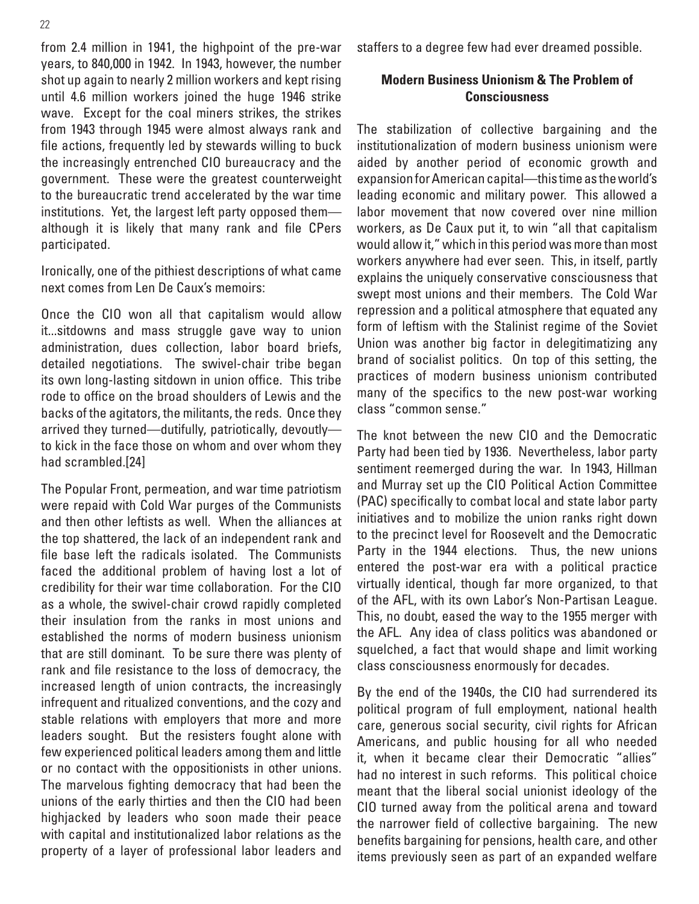from 2.4 million in 1941, the highpoint of the pre-war years, to 840,000 in 1942. In 1943, however, the number shot up again to nearly 2 million workers and kept rising until 4.6 million workers joined the huge 1946 strike wave. Except for the coal miners strikes, the strikes from 1943 through 1945 were almost always rank and file actions, frequently led by stewards willing to buck the increasingly entrenched CIO bureaucracy and the government. These were the greatest counterweight to the bureaucratic trend accelerated by the war time institutions. Yet, the largest left party opposed them although it is likely that many rank and file CPers participated.

Ironically, one of the pithiest descriptions of what came next comes from Len De Caux's memoirs:

Once the CIO won all that capitalism would allow it...sitdowns and mass struggle gave way to union administration, dues collection, labor board briefs, detailed negotiations. The swivel-chair tribe began its own long-lasting sitdown in union office. This tribe rode to office on the broad shoulders of Lewis and the backs of the agitators, the militants, the reds. Once they arrived they turned—dutifully, patriotically, devoutly to kick in the face those on whom and over whom they had scrambled.[24]

The Popular Front, permeation, and war time patriotism were repaid with Cold War purges of the Communists and then other leftists as well. When the alliances at the top shattered, the lack of an independent rank and file base left the radicals isolated. The Communists faced the additional problem of having lost a lot of credibility for their war time collaboration. For the CIO as a whole, the swivel-chair crowd rapidly completed their insulation from the ranks in most unions and established the norms of modern business unionism that are still dominant. To be sure there was plenty of rank and file resistance to the loss of democracy, the increased length of union contracts, the increasingly infrequent and ritualized conventions, and the cozy and stable relations with employers that more and more leaders sought. But the resisters fought alone with few experienced political leaders among them and little or no contact with the oppositionists in other unions. The marvelous fighting democracy that had been the unions of the early thirties and then the CIO had been highjacked by leaders who soon made their peace with capital and institutionalized labor relations as the property of a layer of professional labor leaders and staffers to a degree few had ever dreamed possible.

#### **Modern Business Unionism & The Problem of Consciousness**

The stabilization of collective bargaining and the institutionalization of modern business unionism were aided by another period of economic growth and expansion for American capital—this time as the world's leading economic and military power. This allowed a labor movement that now covered over nine million workers, as De Caux put it, to win "all that capitalism would allow it," which in this period was more than most workers anywhere had ever seen. This, in itself, partly explains the uniquely conservative consciousness that swept most unions and their members. The Cold War repression and a political atmosphere that equated any form of leftism with the Stalinist regime of the Soviet Union was another big factor in delegitimatizing any brand of socialist politics. On top of this setting, the practices of modern business unionism contributed many of the specifics to the new post-war working class "common sense."

The knot between the new CIO and the Democratic Party had been tied by 1936. Nevertheless, labor party sentiment reemerged during the war. In 1943, Hillman and Murray set up the CIO Political Action Committee (PAC) specifically to combat local and state labor party initiatives and to mobilize the union ranks right down to the precinct level for Roosevelt and the Democratic Party in the 1944 elections. Thus, the new unions entered the post-war era with a political practice virtually identical, though far more organized, to that of the AFL, with its own Labor's Non-Partisan League. This, no doubt, eased the way to the 1955 merger with the AFL. Any idea of class politics was abandoned or squelched, a fact that would shape and limit working class consciousness enormously for decades.

By the end of the 1940s, the CIO had surrendered its political program of full employment, national health care, generous social security, civil rights for African Americans, and public housing for all who needed it, when it became clear their Democratic "allies" had no interest in such reforms. This political choice meant that the liberal social unionist ideology of the CIO turned away from the political arena and toward the narrower field of collective bargaining. The new benefits bargaining for pensions, health care, and other items previously seen as part of an expanded welfare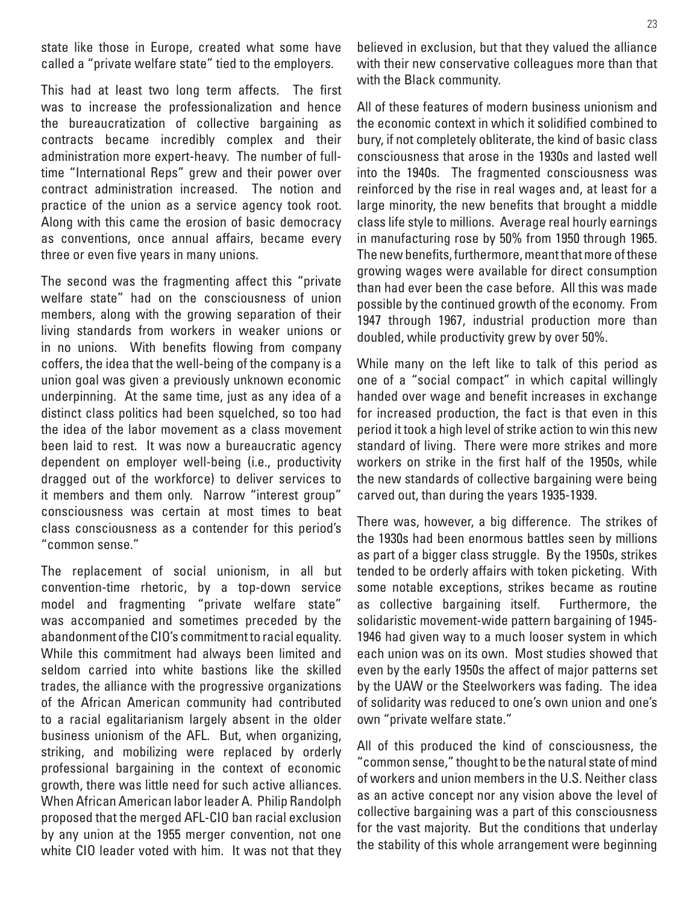state like those in Europe, created what some have called a "private welfare state" tied to the employers.

This had at least two long term affects. The first was to increase the professionalization and hence the bureaucratization of collective bargaining as contracts became incredibly complex and their administration more expert-heavy. The number of fulltime "International Reps" grew and their power over contract administration increased. The notion and practice of the union as a service agency took root. Along with this came the erosion of basic democracy as conventions, once annual affairs, became every three or even five years in many unions.

The second was the fragmenting affect this "private welfare state" had on the consciousness of union members, along with the growing separation of their living standards from workers in weaker unions or in no unions. With benefits flowing from company coffers, the idea that the well-being of the company is a union goal was given a previously unknown economic underpinning. At the same time, just as any idea of a distinct class politics had been squelched, so too had the idea of the labor movement as a class movement been laid to rest. It was now a bureaucratic agency dependent on employer well-being (i.e., productivity dragged out of the workforce) to deliver services to it members and them only. Narrow "interest group" consciousness was certain at most times to beat class consciousness as a contender for this period's "common sense."

The replacement of social unionism, in all but convention-time rhetoric, by a top-down service model and fragmenting "private welfare state" was accompanied and sometimes preceded by the abandonment of the CIO's commitment to racial equality. While this commitment had always been limited and seldom carried into white bastions like the skilled trades, the alliance with the progressive organizations of the African American community had contributed to a racial egalitarianism largely absent in the older business unionism of the AFL. But, when organizing, striking, and mobilizing were replaced by orderly professional bargaining in the context of economic growth, there was little need for such active alliances. When African American labor leader A. Philip Randolph proposed that the merged AFL-CIO ban racial exclusion by any union at the 1955 merger convention, not one white CIO leader voted with him. It was not that they

believed in exclusion, but that they valued the alliance with their new conservative colleagues more than that with the Black community.

All of these features of modern business unionism and the economic context in which it solidified combined to bury, if not completely obliterate, the kind of basic class consciousness that arose in the 1930s and lasted well into the 1940s. The fragmented consciousness was reinforced by the rise in real wages and, at least for a large minority, the new benefits that brought a middle class life style to millions. Average real hourly earnings in manufacturing rose by 50% from 1950 through 1965. The new benefits, furthermore, meant that more of these growing wages were available for direct consumption than had ever been the case before. All this was made possible by the continued growth of the economy. From 1947 through 1967, industrial production more than doubled, while productivity grew by over 50%.

While many on the left like to talk of this period as one of a "social compact" in which capital willingly handed over wage and benefit increases in exchange for increased production, the fact is that even in this period it took a high level of strike action to win this new standard of living. There were more strikes and more workers on strike in the first half of the 1950s, while the new standards of collective bargaining were being carved out, than during the years 1935-1939.

There was, however, a big difference. The strikes of the 1930s had been enormous battles seen by millions as part of a bigger class struggle. By the 1950s, strikes tended to be orderly affairs with token picketing. With some notable exceptions, strikes became as routine as collective bargaining itself. Furthermore, the solidaristic movement-wide pattern bargaining of 1945- 1946 had given way to a much looser system in which each union was on its own. Most studies showed that even by the early 1950s the affect of major patterns set by the UAW or the Steelworkers was fading. The idea of solidarity was reduced to one's own union and one's own "private welfare state."

All of this produced the kind of consciousness, the "common sense," thought to be the natural state of mind of workers and union members in the U.S. Neither class as an active concept nor any vision above the level of collective bargaining was a part of this consciousness for the vast majority. But the conditions that underlay the stability of this whole arrangement were beginning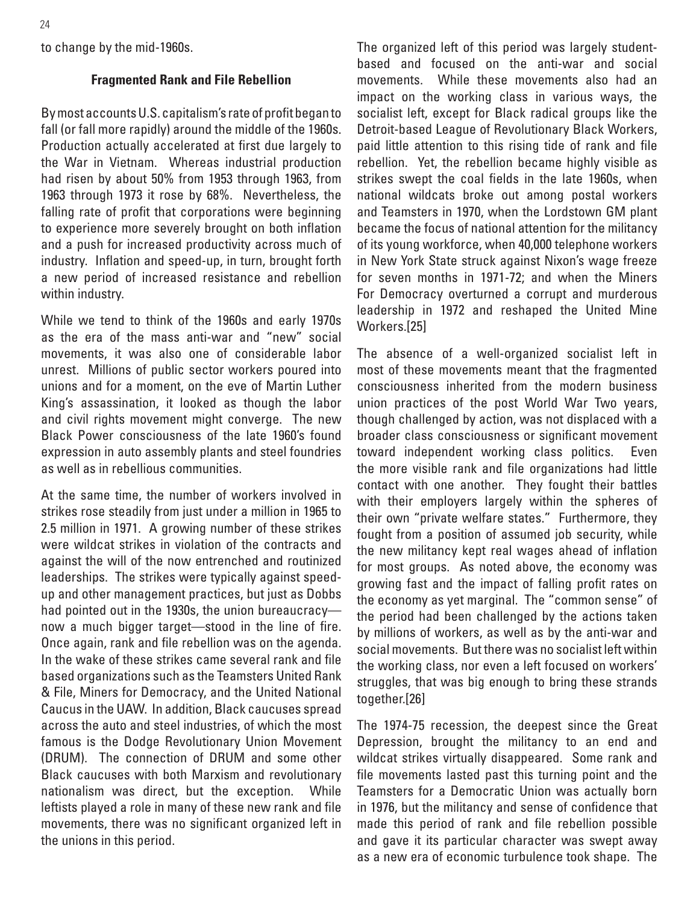to change by the mid-1960s.

#### **Fragmented Rank and File Rebellion**

By most accounts U.S. capitalism's rate of profit began to fall (or fall more rapidly) around the middle of the 1960s. Production actually accelerated at first due largely to the War in Vietnam. Whereas industrial production had risen by about 50% from 1953 through 1963, from 1963 through 1973 it rose by 68%. Nevertheless, the falling rate of profit that corporations were beginning to experience more severely brought on both inflation and a push for increased productivity across much of industry. Inflation and speed-up, in turn, brought forth a new period of increased resistance and rebellion within industry.

While we tend to think of the 1960s and early 1970s as the era of the mass anti-war and "new" social movements, it was also one of considerable labor unrest. Millions of public sector workers poured into unions and for a moment, on the eve of Martin Luther King's assassination, it looked as though the labor and civil rights movement might converge. The new Black Power consciousness of the late 1960's found expression in auto assembly plants and steel foundries as well as in rebellious communities.

At the same time, the number of workers involved in strikes rose steadily from just under a million in 1965 to 2.5 million in 1971. A growing number of these strikes were wildcat strikes in violation of the contracts and against the will of the now entrenched and routinized leaderships. The strikes were typically against speedup and other management practices, but just as Dobbs had pointed out in the 1930s, the union bureaucracy now a much bigger target—stood in the line of fire. Once again, rank and file rebellion was on the agenda. In the wake of these strikes came several rank and file based organizations such as the Teamsters United Rank & File, Miners for Democracy, and the United National Caucus in the UAW. In addition, Black caucuses spread across the auto and steel industries, of which the most famous is the Dodge Revolutionary Union Movement (DRUM). The connection of DRUM and some other Black caucuses with both Marxism and revolutionary nationalism was direct, but the exception. While leftists played a role in many of these new rank and file movements, there was no significant organized left in the unions in this period.

The organized left of this period was largely studentbased and focused on the anti-war and social movements. While these movements also had an impact on the working class in various ways, the socialist left, except for Black radical groups like the Detroit-based League of Revolutionary Black Workers, paid little attention to this rising tide of rank and file rebellion. Yet, the rebellion became highly visible as strikes swept the coal fields in the late 1960s, when national wildcats broke out among postal workers and Teamsters in 1970, when the Lordstown GM plant became the focus of national attention for the militancy of its young workforce, when 40,000 telephone workers in New York State struck against Nixon's wage freeze for seven months in 1971-72; and when the Miners For Democracy overturned a corrupt and murderous leadership in 1972 and reshaped the United Mine Workers.[25]

The absence of a well-organized socialist left in most of these movements meant that the fragmented consciousness inherited from the modern business union practices of the post World War Two years, though challenged by action, was not displaced with a broader class consciousness or significant movement toward independent working class politics. Even the more visible rank and file organizations had little contact with one another. They fought their battles with their employers largely within the spheres of their own "private welfare states." Furthermore, they fought from a position of assumed job security, while the new militancy kept real wages ahead of inflation for most groups. As noted above, the economy was growing fast and the impact of falling profit rates on the economy as yet marginal. The "common sense" of the period had been challenged by the actions taken by millions of workers, as well as by the anti-war and social movements. But there was no socialist left within the working class, nor even a left focused on workers' struggles, that was big enough to bring these strands together.[26]

The 1974-75 recession, the deepest since the Great Depression, brought the militancy to an end and wildcat strikes virtually disappeared. Some rank and file movements lasted past this turning point and the Teamsters for a Democratic Union was actually born in 1976, but the militancy and sense of confidence that made this period of rank and file rebellion possible and gave it its particular character was swept away as a new era of economic turbulence took shape. The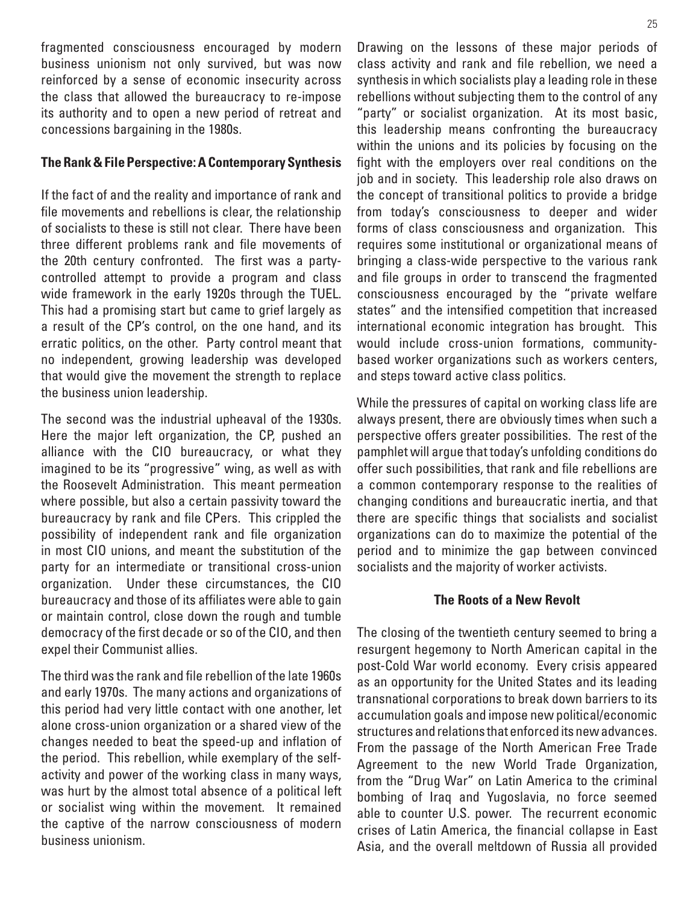fragmented consciousness encouraged by modern business unionism not only survived, but was now reinforced by a sense of economic insecurity across the class that allowed the bureaucracy to re-impose its authority and to open a new period of retreat and concessions bargaining in the 1980s.

#### **The Rank & File Perspective: A Contemporary Synthesis**

If the fact of and the reality and importance of rank and file movements and rebellions is clear, the relationship of socialists to these is still not clear. There have been three different problems rank and file movements of the 20th century confronted. The first was a partycontrolled attempt to provide a program and class wide framework in the early 1920s through the TUEL. This had a promising start but came to grief largely as a result of the CP's control, on the one hand, and its erratic politics, on the other. Party control meant that no independent, growing leadership was developed that would give the movement the strength to replace the business union leadership.

The second was the industrial upheaval of the 1930s. Here the major left organization, the CP, pushed an alliance with the CIO bureaucracy, or what they imagined to be its "progressive" wing, as well as with the Roosevelt Administration. This meant permeation where possible, but also a certain passivity toward the bureaucracy by rank and file CPers. This crippled the possibility of independent rank and file organization in most CIO unions, and meant the substitution of the party for an intermediate or transitional cross-union organization. Under these circumstances, the CIO bureaucracy and those of its affiliates were able to gain or maintain control, close down the rough and tumble democracy of the first decade or so of the CIO, and then expel their Communist allies.

The third was the rank and file rebellion of the late 1960s and early 1970s. The many actions and organizations of this period had very little contact with one another, let alone cross-union organization or a shared view of the changes needed to beat the speed-up and inflation of the period. This rebellion, while exemplary of the selfactivity and power of the working class in many ways, was hurt by the almost total absence of a political left or socialist wing within the movement. It remained the captive of the narrow consciousness of modern business unionism.

Drawing on the lessons of these major periods of class activity and rank and file rebellion, we need a synthesis in which socialists play a leading role in these rebellions without subjecting them to the control of any "party" or socialist organization. At its most basic, this leadership means confronting the bureaucracy within the unions and its policies by focusing on the fight with the employers over real conditions on the job and in society. This leadership role also draws on the concept of transitional politics to provide a bridge from today's consciousness to deeper and wider forms of class consciousness and organization. This requires some institutional or organizational means of bringing a class-wide perspective to the various rank and file groups in order to transcend the fragmented consciousness encouraged by the "private welfare states" and the intensified competition that increased international economic integration has brought. This would include cross-union formations, communitybased worker organizations such as workers centers, and steps toward active class politics.

While the pressures of capital on working class life are always present, there are obviously times when such a perspective offers greater possibilities. The rest of the pamphlet will argue that today's unfolding conditions do offer such possibilities, that rank and file rebellions are a common contemporary response to the realities of changing conditions and bureaucratic inertia, and that there are specific things that socialists and socialist organizations can do to maximize the potential of the period and to minimize the gap between convinced socialists and the majority of worker activists.

#### **The Roots of a New Revolt**

The closing of the twentieth century seemed to bring a resurgent hegemony to North American capital in the post-Cold War world economy. Every crisis appeared as an opportunity for the United States and its leading transnational corporations to break down barriers to its accumulation goals and impose new political/economic structures and relations that enforced its new advances. From the passage of the North American Free Trade Agreement to the new World Trade Organization, from the "Drug War" on Latin America to the criminal bombing of Iraq and Yugoslavia, no force seemed able to counter U.S. power. The recurrent economic crises of Latin America, the financial collapse in East Asia, and the overall meltdown of Russia all provided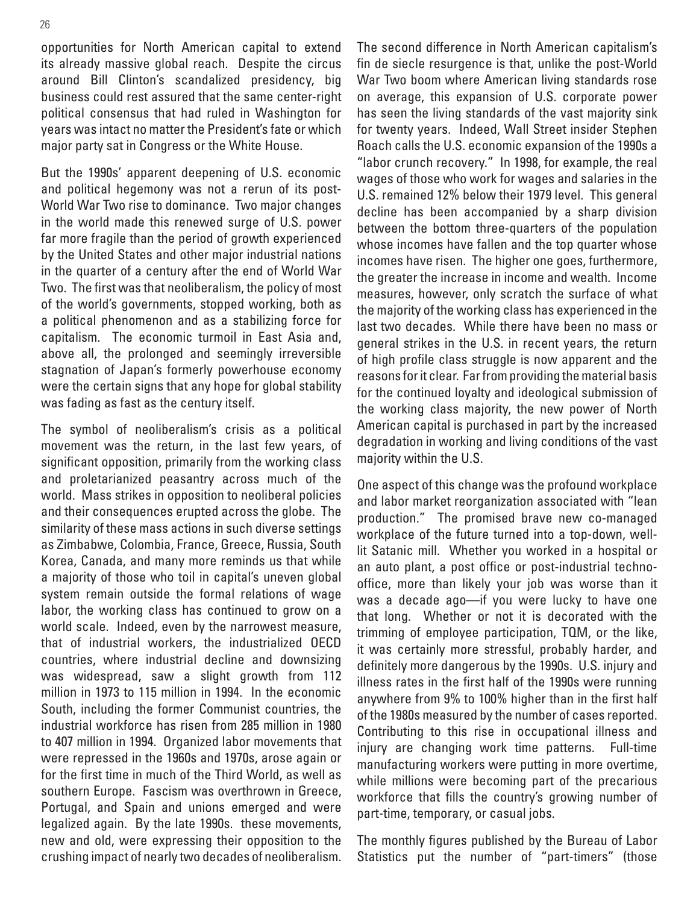opportunities for North American capital to extend its already massive global reach. Despite the circus around Bill Clinton's scandalized presidency, big business could rest assured that the same center-right political consensus that had ruled in Washington for years was intact no matter the President's fate or which major party sat in Congress or the White House.

But the 1990s' apparent deepening of U.S. economic and political hegemony was not a rerun of its post-World War Two rise to dominance. Two major changes in the world made this renewed surge of U.S. power far more fragile than the period of growth experienced by the United States and other major industrial nations in the quarter of a century after the end of World War Two. The first was that neoliberalism, the policy of most of the world's governments, stopped working, both as a political phenomenon and as a stabilizing force for capitalism. The economic turmoil in East Asia and, above all, the prolonged and seemingly irreversible stagnation of Japan's formerly powerhouse economy were the certain signs that any hope for global stability was fading as fast as the century itself.

The symbol of neoliberalism's crisis as a political movement was the return, in the last few years, of significant opposition, primarily from the working class and proletarianized peasantry across much of the world. Mass strikes in opposition to neoliberal policies and their consequences erupted across the globe. The similarity of these mass actions in such diverse settings as Zimbabwe, Colombia, France, Greece, Russia, South Korea, Canada, and many more reminds us that while a majority of those who toil in capital's uneven global system remain outside the formal relations of wage labor, the working class has continued to grow on a world scale. Indeed, even by the narrowest measure, that of industrial workers, the industrialized OECD countries, where industrial decline and downsizing was widespread, saw a slight growth from 112 million in 1973 to 115 million in 1994. In the economic South, including the former Communist countries, the industrial workforce has risen from 285 million in 1980 to 407 million in 1994. Organized labor movements that were repressed in the 1960s and 1970s, arose again or for the first time in much of the Third World, as well as southern Europe. Fascism was overthrown in Greece, Portugal, and Spain and unions emerged and were legalized again. By the late 1990s. these movements, new and old, were expressing their opposition to the crushing impact of nearly two decades of neoliberalism. The second difference in North American capitalism's fin de siecle resurgence is that, unlike the post-World War Two boom where American living standards rose on average, this expansion of U.S. corporate power has seen the living standards of the vast majority sink for twenty years. Indeed, Wall Street insider Stephen Roach calls the U.S. economic expansion of the 1990s a "labor crunch recovery." In 1998, for example, the real wages of those who work for wages and salaries in the U.S. remained 12% below their 1979 level. This general decline has been accompanied by a sharp division between the bottom three-quarters of the population whose incomes have fallen and the top quarter whose incomes have risen. The higher one goes, furthermore, the greater the increase in income and wealth. Income measures, however, only scratch the surface of what the majority of the working class has experienced in the last two decades. While there have been no mass or general strikes in the U.S. in recent years, the return of high profile class struggle is now apparent and the reasons for it clear. Far from providing the material basis for the continued loyalty and ideological submission of the working class majority, the new power of North American capital is purchased in part by the increased degradation in working and living conditions of the vast majority within the U.S.

One aspect of this change was the profound workplace and labor market reorganization associated with "lean production." The promised brave new co-managed workplace of the future turned into a top-down, welllit Satanic mill. Whether you worked in a hospital or an auto plant, a post office or post-industrial technooffice, more than likely your job was worse than it was a decade ago—if you were lucky to have one that long. Whether or not it is decorated with the trimming of employee participation, TQM, or the like, it was certainly more stressful, probably harder, and definitely more dangerous by the 1990s. U.S. injury and illness rates in the first half of the 1990s were running anywhere from 9% to 100% higher than in the first half of the 1980s measured by the number of cases reported. Contributing to this rise in occupational illness and injury are changing work time patterns. Full-time manufacturing workers were putting in more overtime, while millions were becoming part of the precarious workforce that fills the country's growing number of part-time, temporary, or casual jobs.

The monthly figures published by the Bureau of Labor Statistics put the number of "part-timers" (those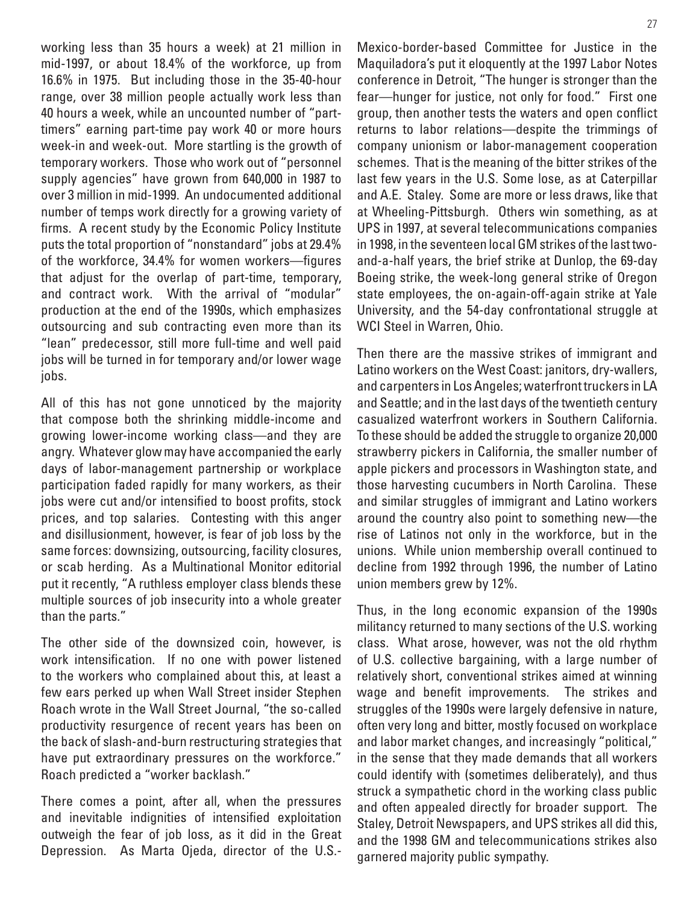working less than 35 hours a week) at 21 million in mid-1997, or about 18.4% of the workforce, up from 16.6% in 1975. But including those in the 35-40-hour range, over 38 million people actually work less than 40 hours a week, while an uncounted number of "parttimers" earning part-time pay work 40 or more hours week-in and week-out. More startling is the growth of temporary workers. Those who work out of "personnel supply agencies" have grown from 640,000 in 1987 to over 3 million in mid-1999. An undocumented additional number of temps work directly for a growing variety of firms. A recent study by the Economic Policy Institute puts the total proportion of "nonstandard" jobs at 29.4% of the workforce, 34.4% for women workers—figures that adjust for the overlap of part-time, temporary, and contract work. With the arrival of "modular" production at the end of the 1990s, which emphasizes outsourcing and sub contracting even more than its "lean" predecessor, still more full-time and well paid jobs will be turned in for temporary and/or lower wage jobs.

All of this has not gone unnoticed by the majority that compose both the shrinking middle-income and growing lower-income working class—and they are angry. Whatever glow may have accompanied the early days of labor-management partnership or workplace participation faded rapidly for many workers, as their jobs were cut and/or intensified to boost profits, stock prices, and top salaries. Contesting with this anger and disillusionment, however, is fear of job loss by the same forces: downsizing, outsourcing, facility closures, or scab herding. As a Multinational Monitor editorial put it recently, "A ruthless employer class blends these multiple sources of job insecurity into a whole greater than the parts."

The other side of the downsized coin, however, is work intensification. If no one with power listened to the workers who complained about this, at least a few ears perked up when Wall Street insider Stephen Roach wrote in the Wall Street Journal, "the so-called productivity resurgence of recent years has been on the back of slash-and-burn restructuring strategies that have put extraordinary pressures on the workforce." Roach predicted a "worker backlash."

There comes a point, after all, when the pressures and inevitable indignities of intensified exploitation outweigh the fear of job loss, as it did in the Great Depression. As Marta Ojeda, director of the U.S.- Mexico-border-based Committee for Justice in the Maquiladora's put it eloquently at the 1997 Labor Notes conference in Detroit, "The hunger is stronger than the fear—hunger for justice, not only for food." First one group, then another tests the waters and open conflict returns to labor relations—despite the trimmings of company unionism or labor-management cooperation schemes. That is the meaning of the bitter strikes of the last few years in the U.S. Some lose, as at Caterpillar and A.E. Staley. Some are more or less draws, like that at Wheeling-Pittsburgh. Others win something, as at UPS in 1997, at several telecommunications companies in 1998, in the seventeen local GM strikes of the last twoand-a-half years, the brief strike at Dunlop, the 69-day Boeing strike, the week-long general strike of Oregon state employees, the on-again-off-again strike at Yale University, and the 54-day confrontational struggle at WCI Steel in Warren, Ohio.

Then there are the massive strikes of immigrant and Latino workers on the West Coast: janitors, dry-wallers, and carpenters in Los Angeles; waterfront truckers in LA and Seattle; and in the last days of the twentieth century casualized waterfront workers in Southern California. To these should be added the struggle to organize 20,000 strawberry pickers in California, the smaller number of apple pickers and processors in Washington state, and those harvesting cucumbers in North Carolina. These and similar struggles of immigrant and Latino workers around the country also point to something new—the rise of Latinos not only in the workforce, but in the unions. While union membership overall continued to decline from 1992 through 1996, the number of Latino union members grew by 12%.

Thus, in the long economic expansion of the 1990s militancy returned to many sections of the U.S. working class. What arose, however, was not the old rhythm of U.S. collective bargaining, with a large number of relatively short, conventional strikes aimed at winning wage and benefit improvements. The strikes and struggles of the 1990s were largely defensive in nature, often very long and bitter, mostly focused on workplace and labor market changes, and increasingly "political," in the sense that they made demands that all workers could identify with (sometimes deliberately), and thus struck a sympathetic chord in the working class public and often appealed directly for broader support. The Staley, Detroit Newspapers, and UPS strikes all did this, and the 1998 GM and telecommunications strikes also garnered majority public sympathy.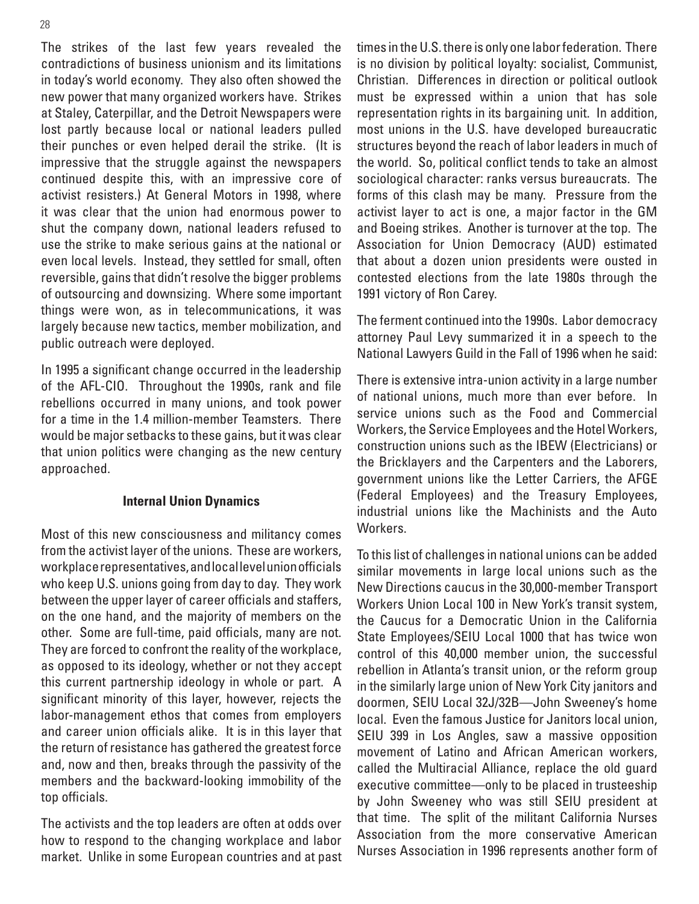The strikes of the last few years revealed the contradictions of business unionism and its limitations in today's world economy. They also often showed the new power that many organized workers have. Strikes at Staley, Caterpillar, and the Detroit Newspapers were lost partly because local or national leaders pulled their punches or even helped derail the strike. (It is impressive that the struggle against the newspapers continued despite this, with an impressive core of activist resisters.) At General Motors in 1998, where it was clear that the union had enormous power to shut the company down, national leaders refused to use the strike to make serious gains at the national or even local levels. Instead, they settled for small, often reversible, gains that didn't resolve the bigger problems of outsourcing and downsizing. Where some important things were won, as in telecommunications, it was largely because new tactics, member mobilization, and public outreach were deployed.

In 1995 a significant change occurred in the leadership of the AFL-CIO. Throughout the 1990s, rank and file rebellions occurred in many unions, and took power for a time in the 1.4 million-member Teamsters. There would be major setbacks to these gains, but it was clear that union politics were changing as the new century approached.

#### **Internal Union Dynamics**

Most of this new consciousness and militancy comes from the activist layer of the unions. These are workers, workplace representatives, and local level union officials who keep U.S. unions going from day to day. They work between the upper layer of career officials and staffers, on the one hand, and the majority of members on the other. Some are full-time, paid officials, many are not. They are forced to confront the reality of the workplace, as opposed to its ideology, whether or not they accept this current partnership ideology in whole or part. A significant minority of this layer, however, rejects the labor-management ethos that comes from employers and career union officials alike. It is in this layer that the return of resistance has gathered the greatest force and, now and then, breaks through the passivity of the members and the backward-looking immobility of the top officials.

The activists and the top leaders are often at odds over how to respond to the changing workplace and labor market. Unlike in some European countries and at past times in the U.S. there is only one labor federation. There is no division by political loyalty: socialist, Communist, Christian. Differences in direction or political outlook must be expressed within a union that has sole representation rights in its bargaining unit. In addition, most unions in the U.S. have developed bureaucratic structures beyond the reach of labor leaders in much of the world. So, political conflict tends to take an almost sociological character: ranks versus bureaucrats. The forms of this clash may be many. Pressure from the activist layer to act is one, a major factor in the GM and Boeing strikes. Another is turnover at the top. The Association for Union Democracy (AUD) estimated that about a dozen union presidents were ousted in contested elections from the late 1980s through the 1991 victory of Ron Carey.

The ferment continued into the 1990s. Labor democracy attorney Paul Levy summarized it in a speech to the National Lawyers Guild in the Fall of 1996 when he said:

There is extensive intra-union activity in a large number of national unions, much more than ever before. In service unions such as the Food and Commercial Workers, the Service Employees and the Hotel Workers, construction unions such as the IBEW (Electricians) or the Bricklayers and the Carpenters and the Laborers, government unions like the Letter Carriers, the AFGE (Federal Employees) and the Treasury Employees, industrial unions like the Machinists and the Auto Workers.

To this list of challenges in national unions can be added similar movements in large local unions such as the New Directions caucus in the 30,000-member Transport Workers Union Local 100 in New York's transit system, the Caucus for a Democratic Union in the California State Employees/SEIU Local 1000 that has twice won control of this 40,000 member union, the successful rebellion in Atlanta's transit union, or the reform group in the similarly large union of New York City janitors and doormen, SEIU Local 32J/32B—John Sweeney's home local. Even the famous Justice for Janitors local union, SEIU 399 in Los Angles, saw a massive opposition movement of Latino and African American workers, called the Multiracial Alliance, replace the old guard executive committee—only to be placed in trusteeship by John Sweeney who was still SEIU president at that time. The split of the militant California Nurses Association from the more conservative American Nurses Association in 1996 represents another form of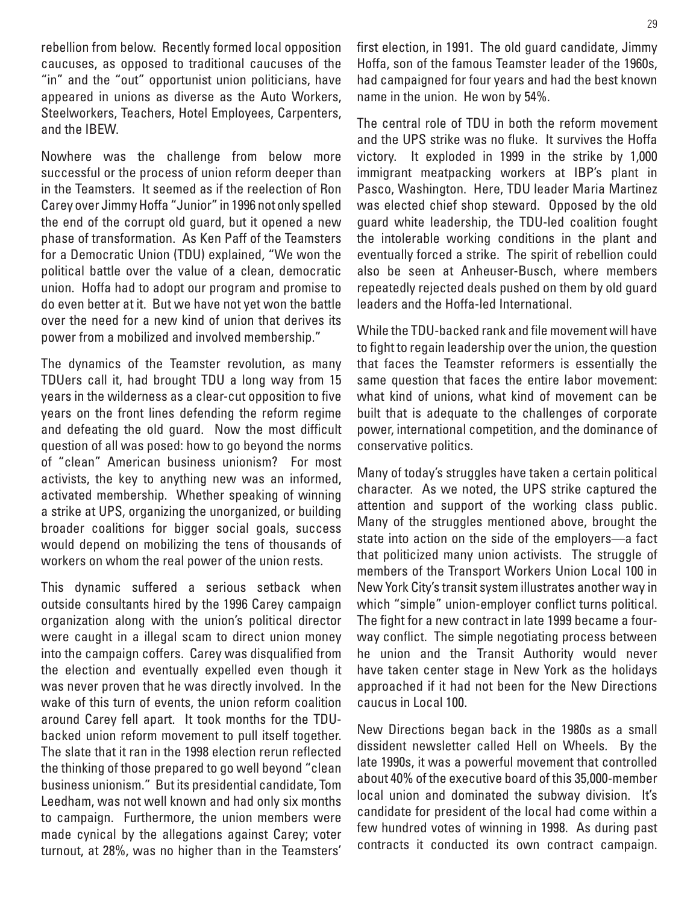rebellion from below. Recently formed local opposition caucuses, as opposed to traditional caucuses of the "in" and the "out" opportunist union politicians, have appeared in unions as diverse as the Auto Workers, Steelworkers, Teachers, Hotel Employees, Carpenters, and the IBEW.

Nowhere was the challenge from below more successful or the process of union reform deeper than in the Teamsters. It seemed as if the reelection of Ron Carey over Jimmy Hoffa "Junior" in 1996 not only spelled the end of the corrupt old guard, but it opened a new phase of transformation. As Ken Paff of the Teamsters for a Democratic Union (TDU) explained, "We won the political battle over the value of a clean, democratic union. Hoffa had to adopt our program and promise to do even better at it. But we have not yet won the battle over the need for a new kind of union that derives its power from a mobilized and involved membership."

The dynamics of the Teamster revolution, as many TDUers call it, had brought TDU a long way from 15 years in the wilderness as a clear-cut opposition to five years on the front lines defending the reform regime and defeating the old guard. Now the most difficult question of all was posed: how to go beyond the norms of "clean" American business unionism? For most activists, the key to anything new was an informed, activated membership. Whether speaking of winning a strike at UPS, organizing the unorganized, or building broader coalitions for bigger social goals, success would depend on mobilizing the tens of thousands of workers on whom the real power of the union rests.

This dynamic suffered a serious setback when outside consultants hired by the 1996 Carey campaign organization along with the union's political director were caught in a illegal scam to direct union money into the campaign coffers. Carey was disqualified from the election and eventually expelled even though it was never proven that he was directly involved. In the wake of this turn of events, the union reform coalition around Carey fell apart. It took months for the TDUbacked union reform movement to pull itself together. The slate that it ran in the 1998 election rerun reflected the thinking of those prepared to go well beyond "clean business unionism." But its presidential candidate, Tom Leedham, was not well known and had only six months to campaign. Furthermore, the union members were made cynical by the allegations against Carey; voter turnout, at 28%, was no higher than in the Teamsters' first election, in 1991. The old guard candidate, Jimmy Hoffa, son of the famous Teamster leader of the 1960s, had campaigned for four years and had the best known name in the union. He won by 54%.

The central role of TDU in both the reform movement and the UPS strike was no fluke. It survives the Hoffa victory. It exploded in 1999 in the strike by 1,000 immigrant meatpacking workers at IBP's plant in Pasco, Washington. Here, TDU leader Maria Martinez was elected chief shop steward. Opposed by the old guard white leadership, the TDU-led coalition fought the intolerable working conditions in the plant and eventually forced a strike. The spirit of rebellion could also be seen at Anheuser-Busch, where members repeatedly rejected deals pushed on them by old guard leaders and the Hoffa-led International.

While the TDU-backed rank and file movement will have to fight to regain leadership over the union, the question that faces the Teamster reformers is essentially the same question that faces the entire labor movement: what kind of unions, what kind of movement can be built that is adequate to the challenges of corporate power, international competition, and the dominance of conservative politics.

Many of today's struggles have taken a certain political character. As we noted, the UPS strike captured the attention and support of the working class public. Many of the struggles mentioned above, brought the state into action on the side of the employers—a fact that politicized many union activists. The struggle of members of the Transport Workers Union Local 100 in New York City's transit system illustrates another way in which "simple" union-employer conflict turns political. The fight for a new contract in late 1999 became a fourway conflict. The simple negotiating process between he union and the Transit Authority would never have taken center stage in New York as the holidays approached if it had not been for the New Directions caucus in Local 100.

New Directions began back in the 1980s as a small dissident newsletter called Hell on Wheels. By the late 1990s, it was a powerful movement that controlled about 40% of the executive board of this 35,000-member local union and dominated the subway division. It's candidate for president of the local had come within a few hundred votes of winning in 1998. As during past contracts it conducted its own contract campaign.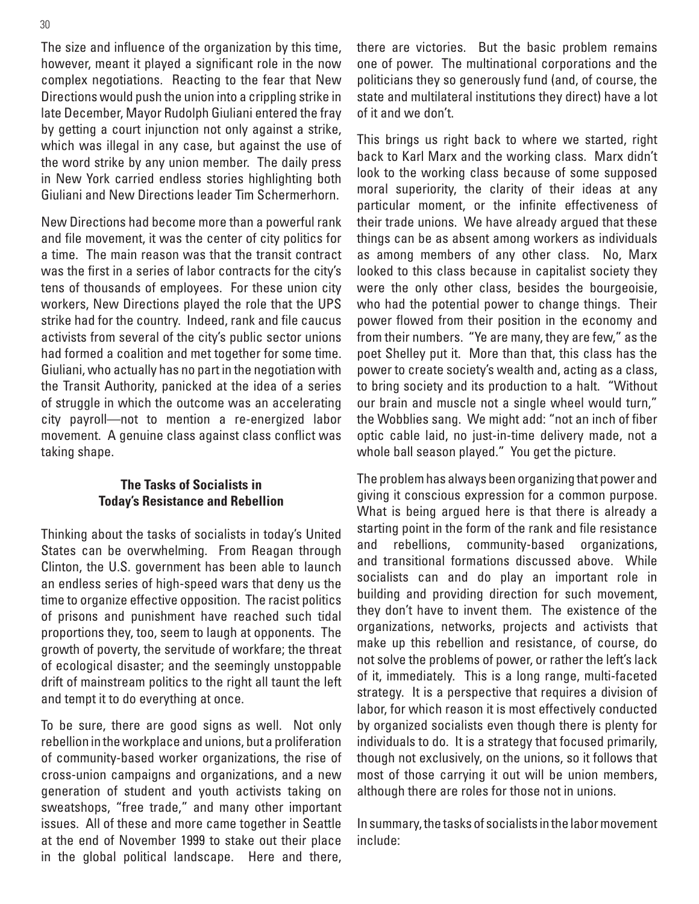The size and influence of the organization by this time, however, meant it played a significant role in the now complex negotiations. Reacting to the fear that New Directions would push the union into a crippling strike in late December, Mayor Rudolph Giuliani entered the fray by getting a court injunction not only against a strike, which was illegal in any case, but against the use of the word strike by any union member. The daily press in New York carried endless stories highlighting both Giuliani and New Directions leader Tim Schermerhorn.

New Directions had become more than a powerful rank and file movement, it was the center of city politics for a time. The main reason was that the transit contract was the first in a series of labor contracts for the city's tens of thousands of employees. For these union city workers, New Directions played the role that the UPS strike had for the country. Indeed, rank and file caucus activists from several of the city's public sector unions had formed a coalition and met together for some time. Giuliani, who actually has no part in the negotiation with the Transit Authority, panicked at the idea of a series of struggle in which the outcome was an accelerating city payroll—not to mention a re-energized labor movement. A genuine class against class conflict was taking shape.

#### **The Tasks of Socialists in Today's Resistance and Rebellion**

Thinking about the tasks of socialists in today's United States can be overwhelming. From Reagan through Clinton, the U.S. government has been able to launch an endless series of high-speed wars that deny us the time to organize effective opposition. The racist politics of prisons and punishment have reached such tidal proportions they, too, seem to laugh at opponents. The growth of poverty, the servitude of workfare; the threat of ecological disaster; and the seemingly unstoppable drift of mainstream politics to the right all taunt the left and tempt it to do everything at once.

To be sure, there are good signs as well. Not only rebellion in the workplace and unions, but a proliferation of community-based worker organizations, the rise of cross-union campaigns and organizations, and a new generation of student and youth activists taking on sweatshops, "free trade," and many other important issues. All of these and more came together in Seattle at the end of November 1999 to stake out their place in the global political landscape. Here and there,

there are victories. But the basic problem remains one of power. The multinational corporations and the politicians they so generously fund (and, of course, the state and multilateral institutions they direct) have a lot of it and we don't.

This brings us right back to where we started, right back to Karl Marx and the working class. Marx didn't look to the working class because of some supposed moral superiority, the clarity of their ideas at any particular moment, or the infinite effectiveness of their trade unions. We have already argued that these things can be as absent among workers as individuals as among members of any other class. No, Marx looked to this class because in capitalist society they were the only other class, besides the bourgeoisie, who had the potential power to change things. Their power flowed from their position in the economy and from their numbers. "Ye are many, they are few," as the poet Shelley put it. More than that, this class has the power to create society's wealth and, acting as a class, to bring society and its production to a halt. "Without our brain and muscle not a single wheel would turn," the Wobblies sang. We might add: "not an inch of fiber optic cable laid, no just-in-time delivery made, not a whole ball season played." You get the picture.

The problem has always been organizing that power and giving it conscious expression for a common purpose. What is being argued here is that there is already a starting point in the form of the rank and file resistance and rebellions, community-based organizations, and transitional formations discussed above. While socialists can and do play an important role in building and providing direction for such movement, they don't have to invent them. The existence of the organizations, networks, projects and activists that make up this rebellion and resistance, of course, do not solve the problems of power, or rather the left's lack of it, immediately. This is a long range, multi-faceted strategy. It is a perspective that requires a division of labor, for which reason it is most effectively conducted by organized socialists even though there is plenty for individuals to do. It is a strategy that focused primarily, though not exclusively, on the unions, so it follows that most of those carrying it out will be union members, although there are roles for those not in unions.

In summary, the tasks of socialists in the labor movement include: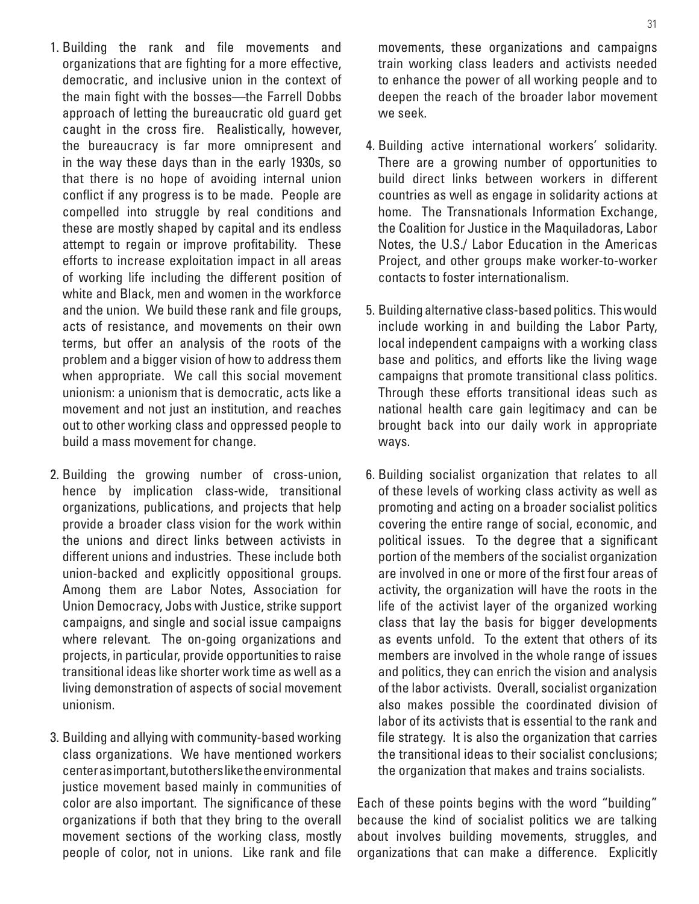- 1. Building the rank and file movements and organizations that are fighting for a more effective, democratic, and inclusive union in the context of the main fight with the bosses—the Farrell Dobbs approach of letting the bureaucratic old guard get caught in the cross fire. Realistically, however, the bureaucracy is far more omnipresent and in the way these days than in the early 1930s, so that there is no hope of avoiding internal union conflict if any progress is to be made. People are compelled into struggle by real conditions and these are mostly shaped by capital and its endless attempt to regain or improve profitability. These efforts to increase exploitation impact in all areas of working life including the different position of white and Black, men and women in the workforce and the union. We build these rank and file groups, acts of resistance, and movements on their own terms, but offer an analysis of the roots of the problem and a bigger vision of how to address them when appropriate. We call this social movement unionism: a unionism that is democratic, acts like a movement and not just an institution, and reaches out to other working class and oppressed people to build a mass movement for change.
- 2. Building the growing number of cross-union, hence by implication class-wide, transitional organizations, publications, and projects that help provide a broader class vision for the work within the unions and direct links between activists in different unions and industries. These include both union-backed and explicitly oppositional groups. Among them are Labor Notes, Association for Union Democracy, Jobs with Justice, strike support campaigns, and single and social issue campaigns where relevant. The on-going organizations and projects, in particular, provide opportunities to raise transitional ideas like shorter work time as well as a living demonstration of aspects of social movement unionism.
- 3. Building and allying with community-based working class organizations. We have mentioned workers center as important, but others like the environmental justice movement based mainly in communities of color are also important. The significance of these organizations if both that they bring to the overall movement sections of the working class, mostly people of color, not in unions. Like rank and file

movements, these organizations and campaigns train working class leaders and activists needed to enhance the power of all working people and to deepen the reach of the broader labor movement we seek.

- 4. Building active international workers' solidarity. There are a growing number of opportunities to build direct links between workers in different countries as well as engage in solidarity actions at home. The Transnationals Information Exchange, the Coalition for Justice in the Maquiladoras, Labor Notes, the U.S./ Labor Education in the Americas Project, and other groups make worker-to-worker contacts to foster internationalism.
- 5. Building alternative class-based politics. This would include working in and building the Labor Party, local independent campaigns with a working class base and politics, and efforts like the living wage campaigns that promote transitional class politics. Through these efforts transitional ideas such as national health care gain legitimacy and can be brought back into our daily work in appropriate ways.
- 6. Building socialist organization that relates to all of these levels of working class activity as well as promoting and acting on a broader socialist politics covering the entire range of social, economic, and political issues. To the degree that a significant portion of the members of the socialist organization are involved in one or more of the first four areas of activity, the organization will have the roots in the life of the activist layer of the organized working class that lay the basis for bigger developments as events unfold. To the extent that others of its members are involved in the whole range of issues and politics, they can enrich the vision and analysis of the labor activists. Overall, socialist organization also makes possible the coordinated division of labor of its activists that is essential to the rank and file strategy. It is also the organization that carries the transitional ideas to their socialist conclusions; the organization that makes and trains socialists.

Each of these points begins with the word "building" because the kind of socialist politics we are talking about involves building movements, struggles, and organizations that can make a difference. Explicitly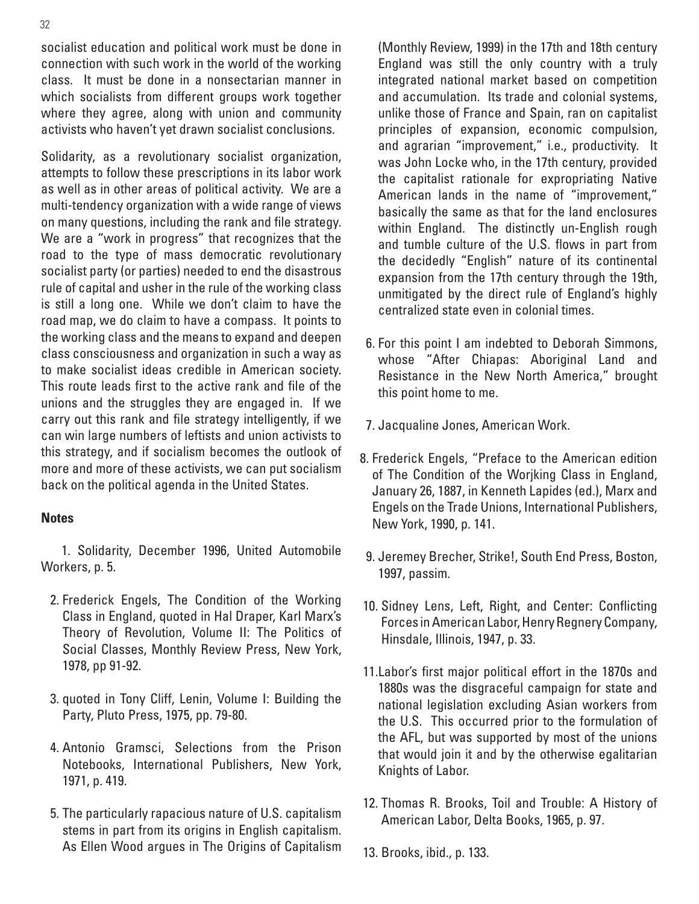socialist education and political work must be done in connection with such work in the world of the working class. It must be done in a nonsectarian manner in which socialists from different groups work together where they agree, along with union and community activists who haven't yet drawn socialist conclusions.

Solidarity, as a revolutionary socialist organization, attempts to follow these prescriptions in its labor work as well as in other areas of political activity. We are a multi-tendency organization with a wide range of views on many questions, including the rank and file strategy. We are a "work in progress" that recognizes that the road to the type of mass democratic revolutionary socialist party (or parties) needed to end the disastrous rule of capital and usher in the rule of the working class is still a long one. While we don't claim to have the road map, we do claim to have a compass. It points to the working class and the means to expand and deepen class consciousness and organization in such a way as to make socialist ideas credible in American society. This route leads first to the active rank and file of the unions and the struggles they are engaged in. If we carry out this rank and file strategy intelligently, if we can win large numbers of leftists and union activists to this strategy, and if socialism becomes the outlook of more and more of these activists, we can put socialism back on the political agenda in the United States.

#### **Notes**

 1. Solidarity, December 1996, United Automobile Workers, p. 5.

- 2. Frederick Engels, The Condition of the Working Class in England, quoted in Hal Draper, Karl Marx's Theory of Revolution, Volume II: The Politics of Social Classes, Monthly Review Press, New York, 1978, pp 91-92.
- 3. quoted in Tony Cliff, Lenin, Volume I: Building the Party, Pluto Press, 1975, pp. 79-80.
- 4. Antonio Gramsci, Selections from the Prison Notebooks, International Publishers, New York, 1971, p. 419.
- 5. The particularly rapacious nature of U.S. capitalism stems in part from its origins in English capitalism. As Ellen Wood argues in The Origins of Capitalism

(Monthly Review, 1999) in the 17th and 18th century England was still the only country with a truly integrated national market based on competition and accumulation. Its trade and colonial systems, unlike those of France and Spain, ran on capitalist principles of expansion, economic compulsion, and agrarian "improvement," i.e., productivity. It was John Locke who, in the 17th century, provided the capitalist rationale for expropriating Native American lands in the name of "improvement," basically the same as that for the land enclosures within England. The distinctly un-English rough and tumble culture of the U.S. flows in part from the decidedly "English" nature of its continental expansion from the 17th century through the 19th, unmitigated by the direct rule of England's highly centralized state even in colonial times.

- 6. For this point I am indebted to Deborah Simmons, whose "After Chiapas: Aboriginal Land and Resistance in the New North America," brought this point home to me.
- 7. Jacqualine Jones, American Work.
- 8. Frederick Engels, "Preface to the American edition of The Condition of the Worjking Class in England, January 26, 1887, in Kenneth Lapides (ed.), Marx and Engels on the Trade Unions, International Publishers, New York, 1990, p. 141.
- 9. Jeremey Brecher, Strike!, South End Press, Boston, 1997, passim.
- 10. Sidney Lens, Left, Right, and Center: Conflicting Forces in American Labor, Henry Regnery Company, Hinsdale, Illinois, 1947, p. 33.
- 11.Labor's first major political effort in the 1870s and 1880s was the disgraceful campaign for state and national legislation excluding Asian workers from the U.S. This occurred prior to the formulation of the AFL, but was supported by most of the unions that would join it and by the otherwise egalitarian Knights of Labor.
- 12. Thomas R. Brooks, Toil and Trouble: A History of American Labor, Delta Books, 1965, p. 97.
- 13. Brooks, ibid., p. 133.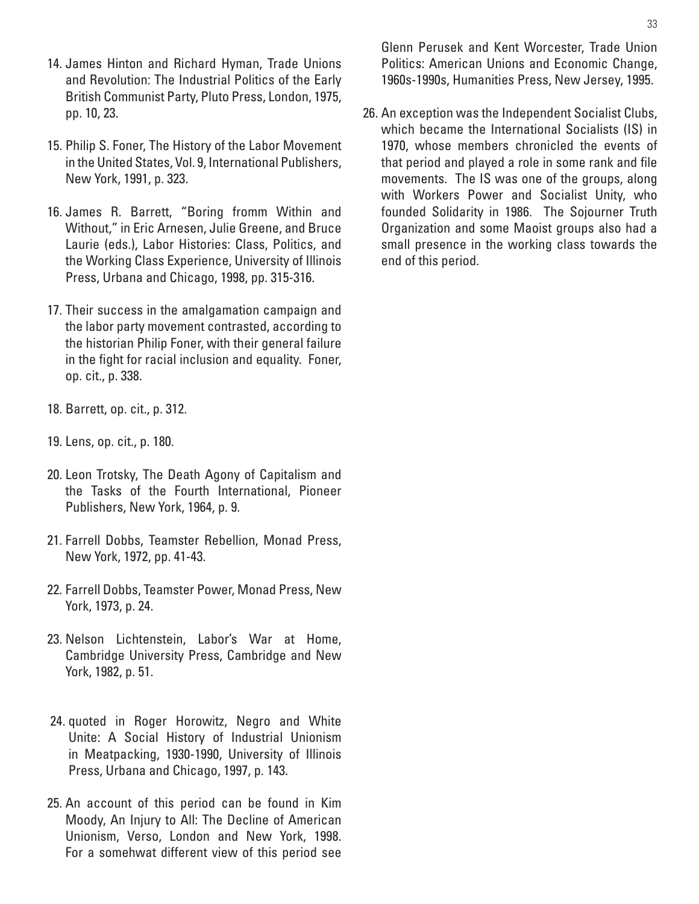- 14. James Hinton and Richard Hyman, Trade Unions and Revolution: The Industrial Politics of the Early British Communist Party, Pluto Press, London, 1975, pp. 10, 23.
- 15. Philip S. Foner, The History of the Labor Movement in the United States, Vol. 9, International Publishers, New York, 1991, p. 323.
- 16. James R. Barrett, "Boring fromm Within and Without," in Eric Arnesen, Julie Greene, and Bruce Laurie (eds.), Labor Histories: Class, Politics, and the Working Class Experience, University of Illinois Press, Urbana and Chicago, 1998, pp. 315-316.
- 17. Their success in the amalgamation campaign and the labor party movement contrasted, according to the historian Philip Foner, with their general failure in the fight for racial inclusion and equality. Foner, op. cit., p. 338.
- 18. Barrett, op. cit., p. 312.
- 19. Lens, op. cit., p. 180.
- 20. Leon Trotsky, The Death Agony of Capitalism and the Tasks of the Fourth International, Pioneer Publishers, New York, 1964, p. 9.
- 21. Farrell Dobbs, Teamster Rebellion, Monad Press, New York, 1972, pp. 41-43.
- 22. Farrell Dobbs, Teamster Power, Monad Press, New York, 1973, p. 24.
- 23. Nelson Lichtenstein, Labor's War at Home, Cambridge University Press, Cambridge and New York, 1982, p. 51.
- 24. quoted in Roger Horowitz, Negro and White Unite: A Social History of Industrial Unionism in Meatpacking, 1930-1990, University of Illinois Press, Urbana and Chicago, 1997, p. 143.
- 25. An account of this period can be found in Kim Moody, An Injury to All: The Decline of American Unionism, Verso, London and New York, 1998. For a somehwat different view of this period see

Glenn Perusek and Kent Worcester, Trade Union Politics: American Unions and Economic Change, 1960s-1990s, Humanities Press, New Jersey, 1995.

 26. An exception was the Independent Socialist Clubs, which became the International Socialists (IS) in 1970, whose members chronicled the events of that period and played a role in some rank and file movements. The IS was one of the groups, along with Workers Power and Socialist Unity, who founded Solidarity in 1986. The Sojourner Truth Organization and some Maoist groups also had a small presence in the working class towards the end of this period.